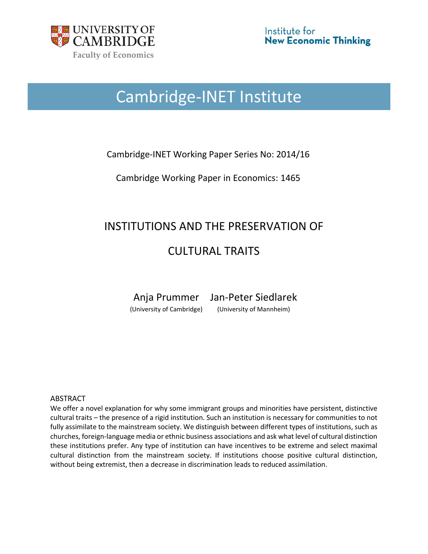

# Cambridge-INET Institute

# Cambridge-INET Working Paper Series No: 2014/16

Cambridge Working Paper in Economics: 1465

# INSTITUTIONS AND THE PRESERVATION OF

# CULTURAL TRAITS

Anja Prummer Jan-Peter Siedlarek

(University of Cambridge) (University of Mannheim)

#### ABSTRACT

We offer a novel explanation for why some immigrant groups and minorities have persistent, distinctive cultural traits – the presence of a rigid institution. Such an institution is necessary for communities to not fully assimilate to the mainstream society. We distinguish between different types of institutions, such as churches, foreign-language media or ethnic business associations and ask what level of cultural distinction these institutions prefer. Any type of institution can have incentives to be extreme and select maximal cultural distinction from the mainstream society. If institutions choose positive cultural distinction, without being extremist, then a decrease in discrimination leads to reduced assimilation.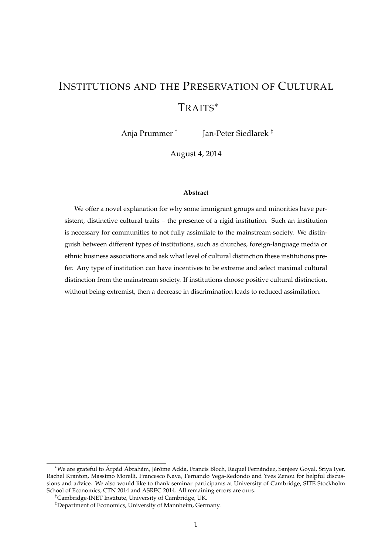# INSTITUTIONS AND THE PRESERVATION OF CULTURAL TRAITS<sup>∗</sup>

Anja Prummer † Jan-Peter Siedlarek ‡

August 4, 2014

#### **Abstract**

We offer a novel explanation for why some immigrant groups and minorities have persistent, distinctive cultural traits – the presence of a rigid institution. Such an institution is necessary for communities to not fully assimilate to the mainstream society. We distinguish between different types of institutions, such as churches, foreign-language media or ethnic business associations and ask what level of cultural distinction these institutions prefer. Any type of institution can have incentives to be extreme and select maximal cultural distinction from the mainstream society. If institutions choose positive cultural distinction, without being extremist, then a decrease in discrimination leads to reduced assimilation.

<sup>∗</sup>We are grateful to Árpád Ábrahám, Jérôme Adda, Francis Bloch, Raquel Fernández, Sanjeev Goyal, Sriya Iyer, Rachel Kranton, Massimo Morelli, Francesco Nava, Fernando Vega-Redondo and Yves Zenou for helpful discussions and advice. We also would like to thank seminar participants at University of Cambridge, SITE Stockholm School of Economics, CTN 2014 and ASREC 2014. All remaining errors are ours.

<sup>†</sup>Cambridge-INET Institute, University of Cambridge, UK.

<sup>‡</sup>Department of Economics, University of Mannheim, Germany.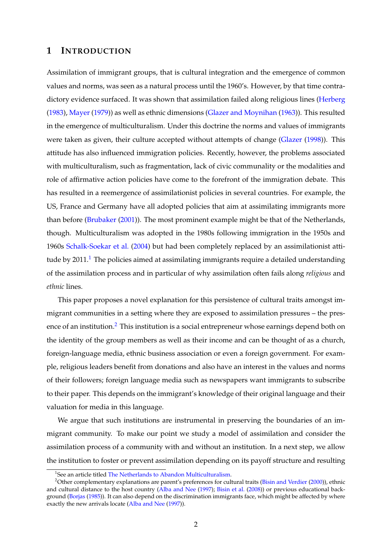# **1 INTRODUCTION**

Assimilation of immigrant groups, that is cultural integration and the emergence of common values and norms, was seen as a natural process until the 1960's. However, by that time contradictory evidence surfaced. It was shown that assimilation failed along religious lines [\(Herberg](#page-36-0) [\(1983\)](#page-36-0), [Mayer](#page-36-1) [\(1979\)](#page-36-1)) as well as ethnic dimensions [\(Glazer and Moynihan](#page-35-0) [\(1963\)](#page-35-0)). This resulted in the emergence of multiculturalism. Under this doctrine the norms and values of immigrants were taken as given, their culture accepted without attempts of change [\(Glazer](#page-35-1) [\(1998\)](#page-35-1)). This attitude has also influenced immigration policies. Recently, however, the problems associated with multiculturalism, such as fragmentation, lack of civic communality or the modalities and role of affirmative action policies have come to the forefront of the immigration debate. This has resulted in a reemergence of assimilationist policies in several countries. For example, the US, France and Germany have all adopted policies that aim at assimilating immigrants more than before [\(Brubaker](#page-34-0) [\(2001\)](#page-34-0)). The most prominent example might be that of the Netherlands, though. Multiculturalism was adopted in the 1980s following immigration in the 1950s and 1960s [Schalk-Soekar et al.](#page-37-0) [\(2004\)](#page-37-0) but had been completely replaced by an assimilationist atti-tude by 20[1](#page-2-0)1.<sup>1</sup> The policies aimed at assimilating immigrants require a detailed understanding of the assimilation process and in particular of why assimilation often fails along *religious* and *ethnic* lines.

This paper proposes a novel explanation for this persistence of cultural traits amongst immigrant communities in a setting where they are exposed to assimilation pressures – the pres-ence of an institution.<sup>[2](#page-2-1)</sup> This institution is a social entrepreneur whose earnings depend both on the identity of the group members as well as their income and can be thought of as a church, foreign-language media, ethnic business association or even a foreign government. For example, religious leaders benefit from donations and also have an interest in the values and norms of their followers; foreign language media such as newspapers want immigrants to subscribe to their paper. This depends on the immigrant's knowledge of their original language and their valuation for media in this language.

We argue that such institutions are instrumental in preserving the boundaries of an immigrant community. To make our point we study a model of assimilation and consider the assimilation process of a community with and without an institution. In a next step, we allow the institution to foster or prevent assimilation depending on its payoff structure and resulting

<span id="page-2-1"></span><span id="page-2-0"></span><sup>&</sup>lt;sup>1</sup>See an article titled [The Netherlands to Abandon Multiculturalism.](http://www.gatestoneinstitute.org/2219/netherlands-abandons-multiculturalism)

<sup>&</sup>lt;sup>2</sup>Other complementary explanations are parent's preferences for cultural traits [\(Bisin and Verdier](#page-33-0) [\(2000\)](#page-33-0)), ethnic and cultural distance to the host country [\(Alba and Nee](#page-32-0) [\(1997\)](#page-32-0); [Bisin et al.](#page-33-1) [\(2008\)](#page-33-1)) or previous educational background [\(Borjas](#page-33-2) [\(1985\)](#page-33-2)). It can also depend on the discrimination immigrants face, which might be affected by where exactly the new arrivals locate [\(Alba and Nee](#page-32-0) [\(1997\)](#page-32-0)).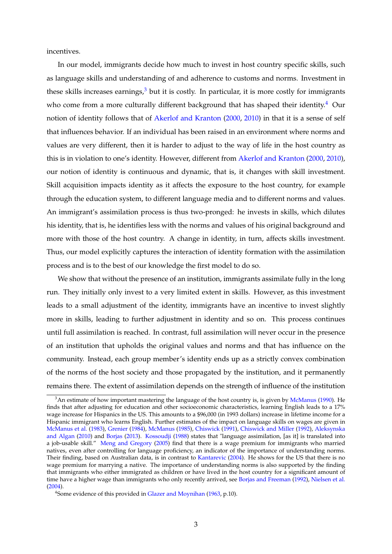incentives.

In our model, immigrants decide how much to invest in host country specific skills, such as language skills and understanding of and adherence to customs and norms. Investment in these skills increases earnings, $3$  but it is costly. In particular, it is more costly for immigrants who come from a more culturally different background that has shaped their identity.<sup>[4](#page-3-1)</sup> Our notion of identity follows that of [Akerlof and Kranton](#page-32-1) [\(2000,](#page-32-1) [2010\)](#page-32-2) in that it is a sense of self that influences behavior. If an individual has been raised in an environment where norms and values are very different, then it is harder to adjust to the way of life in the host country as this is in violation to one's identity. However, different from [Akerlof and Kranton](#page-32-1) [\(2000,](#page-32-1) [2010\)](#page-32-2), our notion of identity is continuous and dynamic, that is, it changes with skill investment. Skill acquisition impacts identity as it affects the exposure to the host country, for example through the education system, to different language media and to different norms and values. An immigrant's assimilation process is thus two-pronged: he invests in skills, which dilutes his identity, that is, he identifies less with the norms and values of his original background and more with those of the host country. A change in identity, in turn, affects skills investment. Thus, our model explicitly captures the interaction of identity formation with the assimilation process and is to the best of our knowledge the first model to do so.

We show that without the presence of an institution, immigrants assimilate fully in the long run. They initially only invest to a very limited extent in skills. However, as this investment leads to a small adjustment of the identity, immigrants have an incentive to invest slightly more in skills, leading to further adjustment in identity and so on. This process continues until full assimilation is reached. In contrast, full assimilation will never occur in the presence of an institution that upholds the original values and norms and that has influence on the community. Instead, each group member's identity ends up as a strictly convex combination of the norms of the host society and those propagated by the institution, and it permanently remains there. The extent of assimilation depends on the strength of influence of the institution

<span id="page-3-0"></span> $3$ An estimate of how important mastering the language of the host country is, is given by [McManus](#page-36-2) [\(1990\)](#page-36-2). He finds that after adjusting for education and other socioeconomic characteristics, learning English leads to a 17% wage increase for Hispanics in the US. This amounts to a \$96,000 (in 1993 dollars) increase in lifetime income for a Hispanic immigrant who learns English. Further estimates of the impact on language skills on wages are given in [McManus et al.](#page-36-3) [\(1983\)](#page-36-3), [Grenier](#page-35-2) [\(1984\)](#page-35-2), [McManus](#page-36-4) [\(1985\)](#page-36-4), [Chiswick](#page-34-1) [\(1991\)](#page-34-1), [Chiswick and Miller](#page-34-2) [\(1992\)](#page-34-2), [Aleksynska](#page-32-3) [and Algan](#page-32-3) [\(2010\)](#page-32-3) and [Borjas](#page-33-3) [\(2013\)](#page-33-3). [Kossoudji](#page-36-5) [\(1988\)](#page-36-5) states that "language assimilation, [as it] is translated into a job-usable skill." [Meng and Gregory](#page-36-6) [\(2005\)](#page-36-6) find that there is a wage premium for immigrants who married natives, even after controlling for language proficiency, an indicator of the importance of understanding norms. Their finding, based on Australian data, is in contrast to [Kantarevic](#page-36-7) [\(2004\)](#page-36-7). He shows for the US that there is no wage premium for marrying a native. The importance of understanding norms is also supported by the finding that immigrants who either immigrated as children or have lived in the host country for a significant amount of time have a higher wage than immigrants who only recently arrived, see [Borjas and Freeman](#page-33-4) [\(1992\)](#page-33-4), [Nielsen et al.](#page-37-1) [\(2004\)](#page-37-1).

<span id="page-3-1"></span><sup>&</sup>lt;sup>4</sup> Some evidence of this provided in [Glazer and Moynihan](#page-35-0) [\(1963,](#page-35-0) p.10).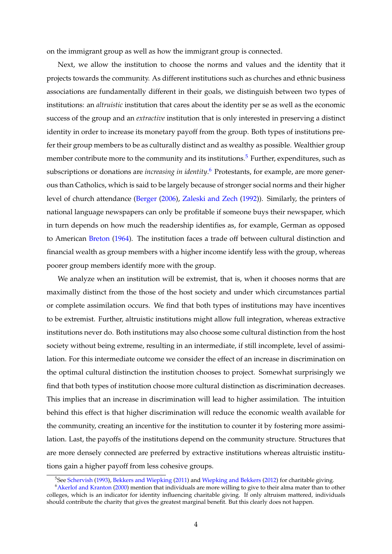on the immigrant group as well as how the immigrant group is connected.

Next, we allow the institution to choose the norms and values and the identity that it projects towards the community. As different institutions such as churches and ethnic business associations are fundamentally different in their goals, we distinguish between two types of institutions: an *altruistic* institution that cares about the identity per se as well as the economic success of the group and an *extractive* institution that is only interested in preserving a distinct identity in order to increase its monetary payoff from the group. Both types of institutions prefer their group members to be as culturally distinct and as wealthy as possible. Wealthier group member contribute more to the community and its institutions.<sup>[5](#page-4-0)</sup> Further, expenditures, such as subscriptions or donations are *increasing in identity*. [6](#page-4-1) Protestants, for example, are more generous than Catholics, which is said to be largely because of stronger social norms and their higher level of church attendance [\(Berger](#page-33-5) [\(2006\)](#page-33-5), [Zaleski and Zech](#page-38-0) [\(1992\)](#page-38-0)). Similarly, the printers of national language newspapers can only be profitable if someone buys their newspaper, which in turn depends on how much the readership identifies as, for example, German as opposed to American [Breton](#page-34-3) [\(1964\)](#page-34-3). The institution faces a trade off between cultural distinction and financial wealth as group members with a higher income identify less with the group, whereas poorer group members identify more with the group.

We analyze when an institution will be extremist, that is, when it chooses norms that are maximally distinct from the those of the host society and under which circumstances partial or complete assimilation occurs. We find that both types of institutions may have incentives to be extremist. Further, altruistic institutions might allow full integration, whereas extractive institutions never do. Both institutions may also choose some cultural distinction from the host society without being extreme, resulting in an intermediate, if still incomplete, level of assimilation. For this intermediate outcome we consider the effect of an increase in discrimination on the optimal cultural distinction the institution chooses to project. Somewhat surprisingly we find that both types of institution choose more cultural distinction as discrimination decreases. This implies that an increase in discrimination will lead to higher assimilation. The intuition behind this effect is that higher discrimination will reduce the economic wealth available for the community, creating an incentive for the institution to counter it by fostering more assimilation. Last, the payoffs of the institutions depend on the community structure. Structures that are more densely connected are preferred by extractive institutions whereas altruistic institutions gain a higher payoff from less cohesive groups.

<span id="page-4-1"></span><span id="page-4-0"></span><sup>5</sup> See [Schervish](#page-37-2) [\(1993\)](#page-37-2), [Bekkers and Wiepking](#page-32-4) [\(2011\)](#page-32-4) and [Wiepking and Bekkers](#page-38-1) [\(2012\)](#page-38-1) for charitable giving.

<sup>&</sup>lt;sup>6</sup> [Akerlof and Kranton](#page-32-1) [\(2000\)](#page-32-1) mention that individuals are more willing to give to their alma mater than to other colleges, which is an indicator for identity influencing charitable giving. If only altruism mattered, individuals should contribute the charity that gives the greatest marginal benefit. But this clearly does not happen.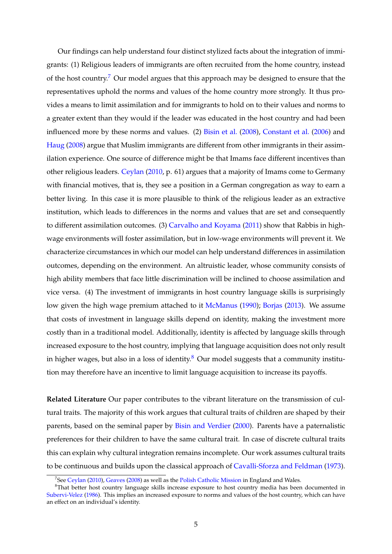Our findings can help understand four distinct stylized facts about the integration of immigrants: (1) Religious leaders of immigrants are often recruited from the home country, instead of the host country.<sup>[7](#page-5-0)</sup> Our model argues that this approach may be designed to ensure that the representatives uphold the norms and values of the home country more strongly. It thus provides a means to limit assimilation and for immigrants to hold on to their values and norms to a greater extent than they would if the leader was educated in the host country and had been influenced more by these norms and values. (2) [Bisin et al.](#page-33-1) [\(2008\)](#page-33-1), [Constant et al.](#page-35-3) [\(2006\)](#page-35-3) and [Haug](#page-36-8) [\(2008\)](#page-36-8) argue that Muslim immigrants are different from other immigrants in their assimilation experience. One source of difference might be that Imams face different incentives than other religious leaders. [Ceylan](#page-34-4) [\(2010,](#page-34-4) p. 61) argues that a majority of Imams come to Germany with financial motives, that is, they see a position in a German congregation as way to earn a better living. In this case it is more plausible to think of the religious leader as an extractive institution, which leads to differences in the norms and values that are set and consequently to different assimilation outcomes. (3) [Carvalho and Koyama](#page-34-5) [\(2011\)](#page-34-5) show that Rabbis in highwage environments will foster assimilation, but in low-wage environments will prevent it. We characterize circumstances in which our model can help understand differences in assimilation outcomes, depending on the environment. An altruistic leader, whose community consists of high ability members that face little discrimination will be inclined to choose assimilation and vice versa. (4) The investment of immigrants in host country language skills is surprisingly low given the high wage premium attached to it [McManus](#page-36-2) [\(1990\)](#page-36-2); [Borjas](#page-33-3) [\(2013\)](#page-33-3). We assume that costs of investment in language skills depend on identity, making the investment more costly than in a traditional model. Additionally, identity is affected by language skills through increased exposure to the host country, implying that language acquisition does not only result in higher wages, but also in a loss of identity.<sup>[8](#page-5-1)</sup> Our model suggests that a community institution may therefore have an incentive to limit language acquisition to increase its payoffs.

**Related Literature** Our paper contributes to the vibrant literature on the transmission of cultural traits. The majority of this work argues that cultural traits of children are shaped by their parents, based on the seminal paper by [Bisin and Verdier](#page-33-0) [\(2000\)](#page-33-0). Parents have a paternalistic preferences for their children to have the same cultural trait. In case of discrete cultural traits this can explain why cultural integration remains incomplete. Our work assumes cultural traits to be continuous and builds upon the classical approach of [Cavalli-Sforza and Feldman](#page-34-6) [\(1973\)](#page-34-6).

<span id="page-5-1"></span><span id="page-5-0"></span> $^7$ See [Ceylan](#page-34-4) [\(2010\)](#page-34-4), [Geaves](#page-35-4) [\(2008\)](#page-35-4) as well as the [Polish Catholic Mission](http://www.pcmew.org/) in England and Wales.

<sup>&</sup>lt;sup>8</sup>That better host country language skills increase exposure to host country media has been documented in [Subervi-Velez](#page-37-3) [\(1986\)](#page-37-3). This implies an increased exposure to norms and values of the host country, which can have an effect on an individual's identity.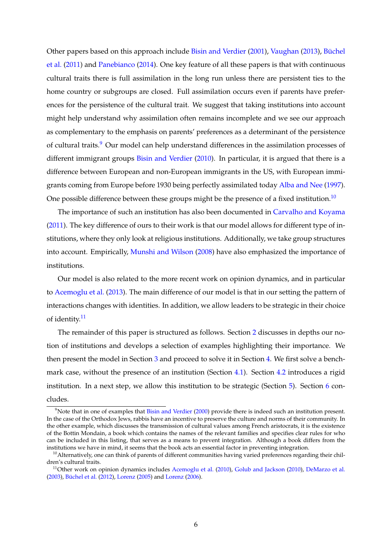Other papers based on this approach include [Bisin and Verdier](#page-33-6) [\(2001\)](#page-33-6), [Vaughan](#page-37-4) [\(2013\)](#page-37-4), [Büchel](#page-34-7) [et al.](#page-34-7) [\(2011\)](#page-34-7) and [Panebianco](#page-37-5) [\(2014\)](#page-37-5). One key feature of all these papers is that with continuous cultural traits there is full assimilation in the long run unless there are persistent ties to the home country or subgroups are closed. Full assimilation occurs even if parents have preferences for the persistence of the cultural trait. We suggest that taking institutions into account might help understand why assimilation often remains incomplete and we see our approach as complementary to the emphasis on parents' preferences as a determinant of the persistence of cultural traits.<sup>[9](#page-6-0)</sup> Our model can help understand differences in the assimilation processes of different immigrant groups [Bisin and Verdier](#page-33-7) [\(2010\)](#page-33-7). In particular, it is argued that there is a difference between European and non-European immigrants in the US, with European immigrants coming from Europe before 1930 being perfectly assimilated today [Alba and Nee](#page-32-0) [\(1997\)](#page-32-0). One possible difference between these groups might be the presence of a fixed institution.<sup>[10](#page-6-1)</sup>

The importance of such an institution has also been documented in [Carvalho and Koyama](#page-34-5) [\(2011\)](#page-34-5). The key difference of ours to their work is that our model allows for different type of institutions, where they only look at religious institutions. Additionally, we take group structures into account. Empirically, [Munshi and Wilson](#page-37-6) [\(2008\)](#page-37-6) have also emphasized the importance of institutions.

Our model is also related to the more recent work on opinion dynamics, and in particular to [Acemoglu et al.](#page-32-5) [\(2013\)](#page-32-5). The main difference of our model is that in our setting the pattern of interactions changes with identities. In addition, we allow leaders to be strategic in their choice of identity.<sup>[11](#page-6-2)</sup>

The remainder of this paper is structured as follows. Section [2](#page-7-0) discusses in depths our notion of institutions and develops a selection of examples highlighting their importance. We then present the model in Section [3](#page-11-0) and proceed to solve it in Section [4.](#page-16-0) We first solve a benchmark case, without the presence of an institution (Section [4.1\)](#page-16-1). Section [4.2](#page-18-0) introduces a rigid institution. In a next step, we allow this institution to be strategic (Section [5\)](#page-23-0). Section [6](#page-29-0) concludes.

<span id="page-6-0"></span> $9N$ ote that in one of examples that [Bisin and Verdier](#page-33-0) [\(2000\)](#page-33-0) provide there is indeed such an institution present. In the case of the Orthodox Jews, rabbis have an incentive to preserve the culture and norms of their community. In the other example, which discusses the transmission of cultural values among French aristocrats, it is the existence of the Bottin Mondain, a book which contains the names of the relevant families and specifies clear rules for who can be included in this listing, that serves as a means to prevent integration. Although a book differs from the institutions we have in mind, it seems that the book acts an essential factor in preventing integration.

<span id="page-6-1"></span> $10$ Alternatively, one can think of parents of different communities having varied preferences regarding their children's cultural traits.

<span id="page-6-2"></span><sup>&</sup>lt;sup>11</sup>Other work on opinion dynamics includes [Acemoglu et al.](#page-32-6) [\(2010\)](#page-35-5), [Golub and Jackson](#page-35-5) (2010), [DeMarzo et al.](#page-35-6) [\(2003\)](#page-35-6), [Büchel et al.](#page-34-8) [\(2012\)](#page-34-8), [Lorenz](#page-36-9) [\(2005\)](#page-36-9) and [Lorenz](#page-36-10) [\(2006\)](#page-36-10).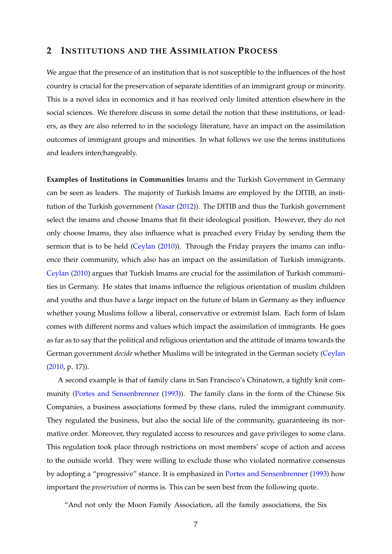## <span id="page-7-0"></span>**2 INSTITUTIONS AND THE ASSIMILATION PROCESS**

We argue that the presence of an institution that is not susceptible to the influences of the host country is crucial for the preservation of separate identities of an immigrant group or minority. This is a novel idea in economics and it has received only limited attention elsewhere in the social sciences. We therefore discuss in some detail the notion that these institutions, or leaders, as they are also referred to in the sociology literature, have an impact on the assimilation outcomes of immigrant groups and minorities. In what follows we use the terms institutions and leaders interchangeably.

**Examples of Institutions in Communities** Imams and the Turkish Government in Germany can be seen as leaders. The majority of Turkish Imams are employed by the DITIB, an institution of the Turkish government [\(Yasar](#page-38-2) [\(2012\)](#page-38-2)). The DITIB and thus the Turkish government select the imams and choose Imams that fit their ideological position. However, they do not only choose Imams, they also influence what is preached every Friday by sending them the sermon that is to be held [\(Ceylan](#page-34-4) [\(2010\)](#page-34-4)). Through the Friday prayers the imams can influence their community, which also has an impact on the assimilation of Turkish immigrants. [Ceylan](#page-34-4) [\(2010\)](#page-34-4) argues that Turkish Imams are crucial for the assimilation of Turkish communities in Germany. He states that imams influence the religious orientation of muslim children and youths and thus have a large impact on the future of Islam in Germany as they influence whether young Muslims follow a liberal, conservative or extremist Islam. Each form of Islam comes with different norms and values which impact the assimilation of immigrants. He goes as far as to say that the political and religious orientation and the attitude of imams towards the German government *decide* whether Muslims will be integrated in the German society [\(Ceylan](#page-34-4) [\(2010,](#page-34-4) p. 17)).

A second example is that of family clans in San Francisco's Chinatown, a tightly knit community [\(Portes and Sensenbrenner](#page-37-7) [\(1993\)](#page-37-7)). The family clans in the form of the Chinese Six Companies, a business associations formed by these clans, ruled the immigrant community. They regulated the business, but also the social life of the community, guaranteeing its normative order. Moreover, they regulated access to resources and gave privileges to some clans. This regulation took place through restrictions on most members' scope of action and access to the outside world. They were willing to exclude those who violated normative consensus by adopting a "progressive" stance. It is emphasized in [Portes and Sensenbrenner](#page-37-7) [\(1993\)](#page-37-7) how important the *preservation* of norms is. This can be seen best from the following quote.

"And not only the Moon Family Association, all the family associations, the Six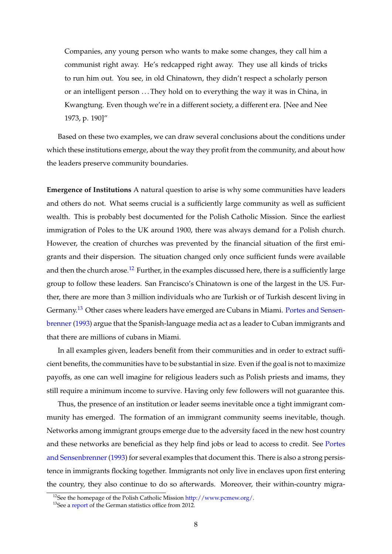Companies, any young person who wants to make some changes, they call him a communist right away. He's redcapped right away. They use all kinds of tricks to run him out. You see, in old Chinatown, they didn't respect a scholarly person or an intelligent person . . . They hold on to everything the way it was in China, in Kwangtung. Even though we're in a different society, a different era. [Nee and Nee 1973, p. 190]"

Based on these two examples, we can draw several conclusions about the conditions under which these institutions emerge, about the way they profit from the community, and about how the leaders preserve community boundaries.

**Emergence of Institutions** A natural question to arise is why some communities have leaders and others do not. What seems crucial is a sufficiently large community as well as sufficient wealth. This is probably best documented for the Polish Catholic Mission. Since the earliest immigration of Poles to the UK around 1900, there was always demand for a Polish church. However, the creation of churches was prevented by the financial situation of the first emigrants and their dispersion. The situation changed only once sufficient funds were available and then the church arose.<sup>[12](#page-8-0)</sup> Further, in the examples discussed here, there is a sufficiently large group to follow these leaders. San Francisco's Chinatown is one of the largest in the US. Further, there are more than 3 million individuals who are Turkish or of Turkish descent living in Germany.<sup>[13](#page-8-1)</sup> Other cases where leaders have emerged are Cubans in Miami. [Portes and Sensen](#page-37-7)[brenner](#page-37-7) [\(1993\)](#page-37-7) argue that the Spanish-language media act as a leader to Cuban immigrants and that there are millions of cubans in Miami.

In all examples given, leaders benefit from their communities and in order to extract sufficient benefits, the communities have to be substantial in size. Even if the goal is not to maximize payoffs, as one can well imagine for religious leaders such as Polish priests and imams, they still require a minimum income to survive. Having only few followers will not guarantee this.

Thus, the presence of an institution or leader seems inevitable once a tight immigrant community has emerged. The formation of an immigrant community seems inevitable, though. Networks among immigrant groups emerge due to the adversity faced in the new host country and these networks are beneficial as they help find jobs or lead to access to credit. See [Portes](#page-37-7) and Sensenbrenner (1993) for several examples that document this. There is also a strong persistence in immigrants flocking together. Immigrants not only live in enclaves upon first entering the country, they also continue to do so afterwards. Moreover, their within-country migra-

<span id="page-8-0"></span><sup>&</sup>lt;sup>12</sup>See the homepage of the Polish Catholic Mission [http://www.pcmew.org/.](http://www.pcmew.org/)

<span id="page-8-1"></span><sup>&</sup>lt;sup>13</sup>See a [report](https://www.destatis.de/DE/Publikationen/Thematisch/Bevoelkerung/MigrationIntegration/Migrationshintergrund2010220127004.pdf?__blob=publicationFile) of the German statistics office from 2012.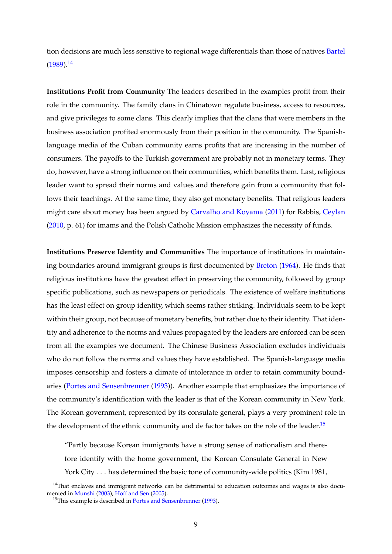tion decisions are much less sensitive to regional wage differentials than those of natives [Bartel](#page-32-7)  $(1989).<sup>14</sup>$  $(1989).<sup>14</sup>$  $(1989).<sup>14</sup>$  $(1989).<sup>14</sup>$ 

**Institutions Profit from Community** The leaders described in the examples profit from their role in the community. The family clans in Chinatown regulate business, access to resources, and give privileges to some clans. This clearly implies that the clans that were members in the business association profited enormously from their position in the community. The Spanishlanguage media of the Cuban community earns profits that are increasing in the number of consumers. The payoffs to the Turkish government are probably not in monetary terms. They do, however, have a strong influence on their communities, which benefits them. Last, religious leader want to spread their norms and values and therefore gain from a community that follows their teachings. At the same time, they also get monetary benefits. That religious leaders might care about money has been argued by [Carvalho and Koyama](#page-34-5) [\(2011\)](#page-34-5) for Rabbis, [Ceylan](#page-34-4) [\(2010,](#page-34-4) p. 61) for imams and the Polish Catholic Mission emphasizes the necessity of funds.

**Institutions Preserve Identity and Communities** The importance of institutions in maintaining boundaries around immigrant groups is first documented by [Breton](#page-34-3) [\(1964\)](#page-34-3). He finds that religious institutions have the greatest effect in preserving the community, followed by group specific publications, such as newspapers or periodicals. The existence of welfare institutions has the least effect on group identity, which seems rather striking. Individuals seem to be kept within their group, not because of monetary benefits, but rather due to their identity. That identity and adherence to the norms and values propagated by the leaders are enforced can be seen from all the examples we document. The Chinese Business Association excludes individuals who do not follow the norms and values they have established. The Spanish-language media imposes censorship and fosters a climate of intolerance in order to retain community boundaries [\(Portes and Sensenbrenner](#page-37-7) [\(1993\)](#page-37-7)). Another example that emphasizes the importance of the community's identification with the leader is that of the Korean community in New York. The Korean government, represented by its consulate general, plays a very prominent role in the development of the ethnic community and de factor takes on the role of the leader.<sup>[15](#page-9-1)</sup>

"Partly because Korean immigrants have a strong sense of nationalism and therefore identify with the home government, the Korean Consulate General in New York City . . . has determined the basic tone of community-wide politics (Kim 1981,

<span id="page-9-0"></span> $14$ That enclaves and immigrant networks can be detrimental to education outcomes and wages is also documented in [Munshi](#page-37-8) [\(2003\)](#page-37-8); [Hoff and Sen](#page-36-11) [\(2005\)](#page-36-11).

<span id="page-9-1"></span> $15$ This example is described in [Portes and Sensenbrenner](#page-37-7) [\(1993\)](#page-37-7).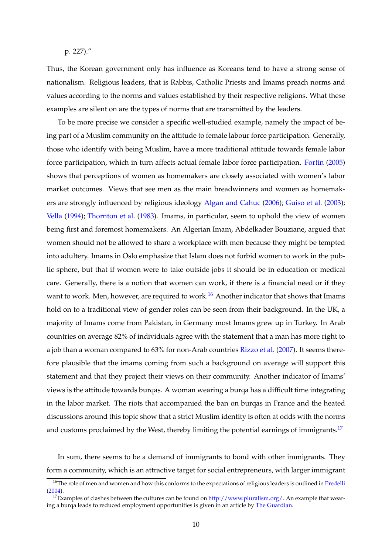p. 227)."

Thus, the Korean government only has influence as Koreans tend to have a strong sense of nationalism. Religious leaders, that is Rabbis, Catholic Priests and Imams preach norms and values according to the norms and values established by their respective religions. What these examples are silent on are the types of norms that are transmitted by the leaders.

To be more precise we consider a specific well-studied example, namely the impact of being part of a Muslim community on the attitude to female labour force participation. Generally, those who identify with being Muslim, have a more traditional attitude towards female labor force participation, which in turn affects actual female labor force participation. [Fortin](#page-35-7) [\(2005\)](#page-35-7) shows that perceptions of women as homemakers are closely associated with women's labor market outcomes. Views that see men as the main breadwinners and women as homemakers are strongly influenced by religious ideology [Algan and Cahuc](#page-32-8) [\(2006\)](#page-32-8); [Guiso et al.](#page-35-8) [\(2003\)](#page-35-8); [Vella](#page-38-3) [\(1994\)](#page-38-3); [Thornton et al.](#page-37-9) [\(1983\)](#page-37-9). Imams, in particular, seem to uphold the view of women being first and foremost homemakers. An Algerian Imam, Abdelkader Bouziane, argued that women should not be allowed to share a workplace with men because they might be tempted into adultery. Imams in Oslo emphasize that Islam does not forbid women to work in the public sphere, but that if women were to take outside jobs it should be in education or medical care. Generally, there is a notion that women can work, if there is a financial need or if they want to work. Men, however, are required to work.<sup>[16](#page-10-0)</sup> Another indicator that shows that Imams hold on to a traditional view of gender roles can be seen from their background. In the UK, a majority of Imams come from Pakistan, in Germany most Imams grew up in Turkey. In Arab countries on average 82% of individuals agree with the statement that a man has more right to a job than a woman compared to 63% for non-Arab countries [Rizzo et al.](#page-37-10) [\(2007\)](#page-37-10). It seems therefore plausible that the imams coming from such a background on average will support this statement and that they project their views on their community. Another indicator of Imams' views is the attitude towards burqas. A woman wearing a burqa has a difficult time integrating in the labor market. The riots that accompanied the ban on burqas in France and the heated discussions around this topic show that a strict Muslim identity is often at odds with the norms and customs proclaimed by the West, thereby limiting the potential earnings of immigrants.<sup>[17](#page-10-1)</sup>

In sum, there seems to be a demand of immigrants to bond with other immigrants. They form a community, which is an attractive target for social entrepreneurs, with larger immigrant

<span id="page-10-0"></span><sup>&</sup>lt;sup>16</sup>The role of men and women and how this conforms to the expectations of religious leaders is outlined in [Predelli](#page-37-11) [\(2004\)](#page-37-11).

<span id="page-10-1"></span><sup>&</sup>lt;sup>17</sup>Examples of clashes between the cultures can be found on  $http://www.pluralism.org/$ . An example that wear-ing a burqa leads to reduced employment opportunities is given in an article by [The Guardian.](http://www.theguardian.com/world/2011/sep/19/battle-for-the-burqa)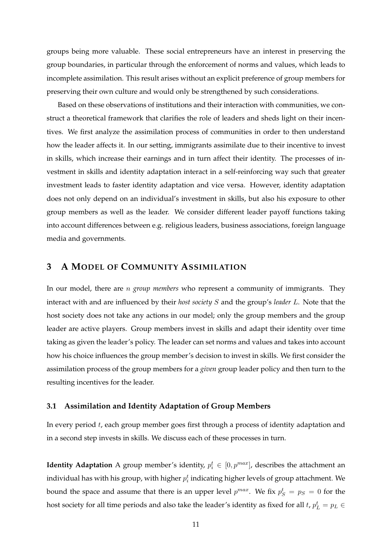groups being more valuable. These social entrepreneurs have an interest in preserving the group boundaries, in particular through the enforcement of norms and values, which leads to incomplete assimilation. This result arises without an explicit preference of group members for preserving their own culture and would only be strengthened by such considerations.

Based on these observations of institutions and their interaction with communities, we construct a theoretical framework that clarifies the role of leaders and sheds light on their incentives. We first analyze the assimilation process of communities in order to then understand how the leader affects it. In our setting, immigrants assimilate due to their incentive to invest in skills, which increase their earnings and in turn affect their identity. The processes of investment in skills and identity adaptation interact in a self-reinforcing way such that greater investment leads to faster identity adaptation and vice versa. However, identity adaptation does not only depend on an individual's investment in skills, but also his exposure to other group members as well as the leader. We consider different leader payoff functions taking into account differences between e.g. religious leaders, business associations, foreign language media and governments.

# <span id="page-11-0"></span>**3 A MODEL OF COMMUNITY ASSIMILATION**

In our model, there are n *group members* who represent a community of immigrants. They interact with and are influenced by their *host society* S and the group's *leader* L. Note that the host society does not take any actions in our model; only the group members and the group leader are active players. Group members invest in skills and adapt their identity over time taking as given the leader's policy. The leader can set norms and values and takes into account how his choice influences the group member's decision to invest in skills. We first consider the assimilation process of the group members for a *given* group leader policy and then turn to the resulting incentives for the leader.

#### **3.1 Assimilation and Identity Adaptation of Group Members**

In every period t, each group member goes first through a process of identity adaptation and in a second step invests in skills. We discuss each of these processes in turn.

**Identity Adaptation** A group member's identity,  $p_i^t \in [0, p^{max}]$ , describes the attachment an individual has with his group, with higher  $p_i^t$  indicating higher levels of group attachment. We bound the space and assume that there is an upper level  $p^{max}$ . We fix  $p_S^t = p_S = 0$  for the host society for all time periods and also take the leader's identity as fixed for all  $t$ ,  $p_L^t = p_L \in$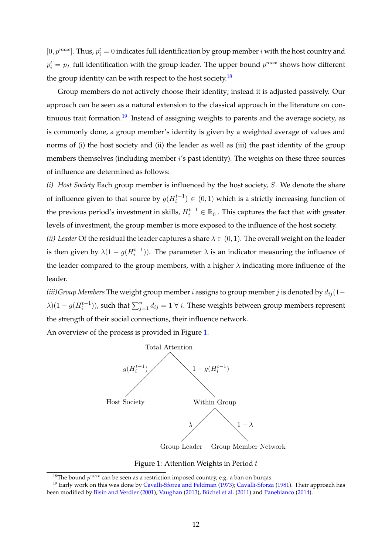$[0, p^{max}]$ . Thus,  $p_i^t = 0$  indicates full identification by group member *i* with the host country and  $p_i^t = p_L$  full identification with the group leader. The upper bound  $p^{max}$  shows how different the group identity can be with respect to the host society.<sup>[18](#page-12-0)</sup>

Group members do not actively choose their identity; instead it is adjusted passively. Our approach can be seen as a natural extension to the classical approach in the literature on con-tinuous trait formation.<sup>[19](#page-12-1)</sup> Instead of assigning weights to parents and the average society, as is commonly done, a group member's identity is given by a weighted average of values and norms of (i) the host society and (ii) the leader as well as (iii) the past identity of the group members themselves (including member i's past identity). The weights on these three sources of influence are determined as follows:

*(i) Host Society* Each group member is influenced by the host society, S. We denote the share of influence given to that source by  $g(H_i^{t-1}) \in (0,1)$  which is a strictly increasing function of the previous period's investment in skills,  $H_i^{t-1} \in \mathbb{R}_0^+$ . This captures the fact that with greater levels of investment, the group member is more exposed to the influence of the host society.

*(ii) Leader* Of the residual the leader captures a share  $\lambda \in (0, 1)$ . The overall weight on the leader is then given by  $\lambda(1-g(H_i^{t-1}))$ . The parameter  $\lambda$  is an indicator measuring the influence of the leader compared to the group members, with a higher  $\lambda$  indicating more influence of the leader.

 $(iii)$ Group Members The weight group member  $i$  assigns to group member  $j$  is denoted by  $d_{ij}(1 \lambda$ )(1 –  $g(H_i^{t-1})$ ), such that  $\sum_{j=1}^n d_{ij} = 1 \ \forall \ i$ . These weights between group members represent the strength of their social connections, their influence network.

An overview of the process is provided in Figure [1.](#page-12-2)



<span id="page-12-2"></span>Figure 1: Attention Weights in Period  $t$ 

<span id="page-12-1"></span><span id="page-12-0"></span><sup>&</sup>lt;sup>18</sup>The bound  $p^{max}$  can be seen as a restriction imposed country, e.g. a ban on burqas.

<sup>&</sup>lt;sup>19</sup> Early work on this was done by [Cavalli-Sforza and Feldman](#page-34-6) [\(1973\)](#page-34-6); [Cavalli-Sforza](#page-34-9) [\(1981\)](#page-34-9). Their approach has been modified by [Bisin and Verdier](#page-33-6) [\(2001\)](#page-33-6), [Vaughan](#page-37-4) [\(2013\)](#page-37-4), [Büchel et al.](#page-34-7) [\(2011\)](#page-34-7) and [Panebianco](#page-37-5) [\(2014\)](#page-37-5).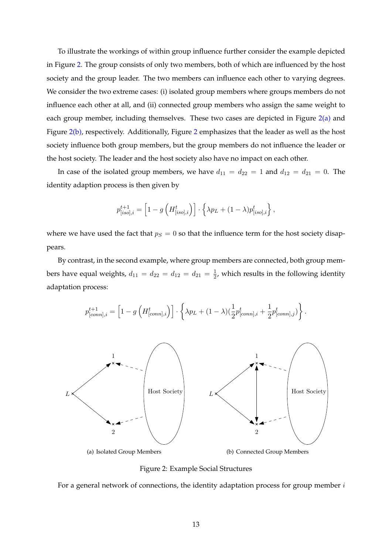To illustrate the workings of within group influence further consider the example depicted in Figure [2.](#page-13-0) The group consists of only two members, both of which are influenced by the host society and the group leader. The two members can influence each other to varying degrees. We consider the two extreme cases: (i) isolated group members where groups members do not influence each other at all, and (ii) connected group members who assign the same weight to each group member, including themselves. These two cases are depicted in Figure  $2(a)$  and Figure  $2(b)$  $2(b)$ , respectively. Additionally, Figure 2 emphasizes that the leader as well as the host society influence both group members, but the group members do not influence the leader or the host society. The leader and the host society also have no impact on each other.

In case of the isolated group members, we have  $d_{11} = d_{22} = 1$  and  $d_{12} = d_{21} = 0$ . The identity adaption process is then given by

$$
p_{[iso],i}^{t+1} = \left[1 - g\left(H_{[iso],i}^t\right)\right] \cdot \left\{\lambda p_L + (1-\lambda)p_{[iso],i}^t\right\},\,
$$

where we have used the fact that  $p_S = 0$  so that the influence term for the host society disappears.

By contrast, in the second example, where group members are connected, both group members have equal weights,  $d_{11} = d_{22} = d_{12} = d_{21} = \frac{1}{2}$  $\frac{1}{2}$ , which results in the following identity adaptation process:

<span id="page-13-1"></span>

<span id="page-13-2"></span><span id="page-13-0"></span>Figure 2: Example Social Structures

For a general network of connections, the identity adaptation process for group member  $i$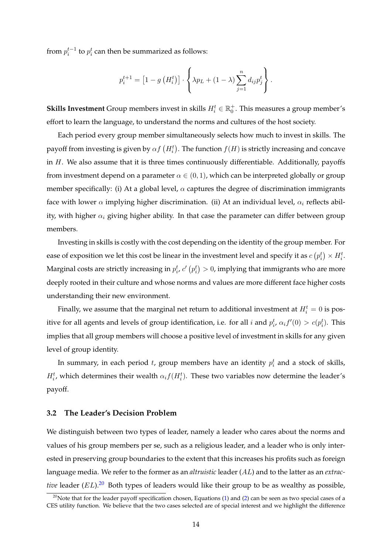from  $p_i^{t-1}$  to  $p_i^t$  can then be summarized as follows:

$$
p_i^{t+1} = [1 - g(H_i^t)] \cdot \left\{ \lambda p_L + (1 - \lambda) \sum_{j=1}^n d_{ij} p_j^t \right\}.
$$

**Skills Investment** Group members invest in skills  $H_i^t \in \mathbb{R}_0^+$ . This measures a group member's effort to learn the language, to understand the norms and cultures of the host society.

Each period every group member simultaneously selects how much to invest in skills. The payoff from investing is given by  $\alpha f\left(H_i^t\right)$ . The function  $f(H)$  is strictly increasing and concave in  $H$ . We also assume that it is three times continuously differentiable. Additionally, payoffs from investment depend on a parameter  $\alpha \in (0,1)$ , which can be interpreted globally or group member specifically: (i) At a global level,  $\alpha$  captures the degree of discrimination immigrants face with lower  $\alpha$  implying higher discrimination. (ii) At an individual level,  $\alpha_i$  reflects ability, with higher  $\alpha_i$  giving higher ability. In that case the parameter can differ between group members.

Investing in skills is costly with the cost depending on the identity of the group member. For ease of exposition we let this cost be linear in the investment level and specify it as  $c\left(p_i^t\right)\times H_i^t.$ Marginal costs are strictly increasing in  $p_i^t$ ,  $c'\left(p_i^t\right)>0$ , implying that immigrants who are more deeply rooted in their culture and whose norms and values are more different face higher costs understanding their new environment.

Finally, we assume that the marginal net return to additional investment at  $H_i^t = 0$  is positive for all agents and levels of group identification, i.e. for all *i* and  $p_i^t$ ,  $\alpha_i f'(0) > c(p_i^t)$ . This implies that all group members will choose a positive level of investment in skills for any given level of group identity.

In summary, in each period t, group members have an identity  $p_i^t$  and a stock of skills,  $H_i^t$ , which determines their wealth  $\alpha_i f(H_i^t)$ . These two variables now determine the leader's payoff.

#### **3.2 The Leader's Decision Problem**

We distinguish between two types of leader, namely a leader who cares about the norms and values of his group members per se, such as a religious leader, and a leader who is only interested in preserving group boundaries to the extent that this increases his profits such as foreign language media. We refer to the former as an *altruistic* leader (AL) and to the latter as an *extractive* leader  $(EL)$ .<sup>[20](#page-14-0)</sup> Both types of leaders would like their group to be as wealthy as possible,

<span id="page-14-0"></span> $20$ Note that for the leader payoff specification chosen, Equations [\(1\)](#page-15-0) and [\(2\)](#page-15-1) can be seen as two special cases of a CES utility function. We believe that the two cases selected are of special interest and we highlight the difference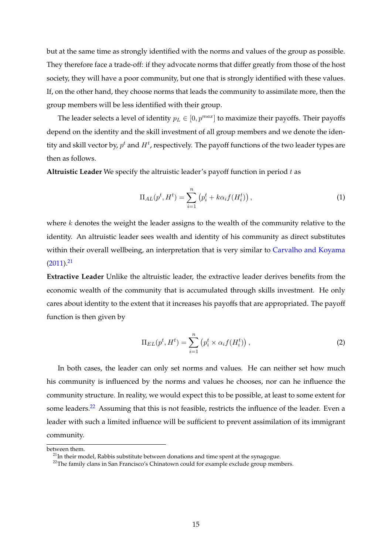but at the same time as strongly identified with the norms and values of the group as possible. They therefore face a trade-off: if they advocate norms that differ greatly from those of the host society, they will have a poor community, but one that is strongly identified with these values. If, on the other hand, they choose norms that leads the community to assimilate more, then the group members will be less identified with their group.

The leader selects a level of identity  $p_L \in [0, p^{max}]$  to maximize their payoffs. Their payoffs depend on the identity and the skill investment of all group members and we denote the identity and skill vector by,  $p^t$  and  $H^t$ , respectively. The payoff functions of the two leader types are then as follows.

**Altruistic Leader** We specify the altruistic leader's payoff function in period t as

<span id="page-15-0"></span>
$$
\Pi_{AL}(p^t, H^t) = \sum_{i=1}^n (p_i^t + k\alpha_i f(H_i^t)),
$$
\n(1)

where  $k$  denotes the weight the leader assigns to the wealth of the community relative to the identity. An altruistic leader sees wealth and identity of his community as direct substitutes within their overall wellbeing, an interpretation that is very similar to [Carvalho and Koyama](#page-34-5)  $(2011).<sup>21</sup>$  $(2011).<sup>21</sup>$  $(2011).<sup>21</sup>$  $(2011).<sup>21</sup>$ 

**Extractive Leader** Unlike the altruistic leader, the extractive leader derives benefits from the economic wealth of the community that is accumulated through skills investment. He only cares about identity to the extent that it increases his payoffs that are appropriated. The payoff function is then given by

<span id="page-15-1"></span>
$$
\Pi_{EL}(p^t, H^t) = \sum_{i=1}^n (p_i^t \times \alpha_i f(H_i^t)), \qquad (2)
$$

In both cases, the leader can only set norms and values. He can neither set how much his community is influenced by the norms and values he chooses, nor can he influence the community structure. In reality, we would expect this to be possible, at least to some extent for some leaders.<sup>[22](#page-15-3)</sup> Assuming that this is not feasible, restricts the influence of the leader. Even a leader with such a limited influence will be sufficient to prevent assimilation of its immigrant community.

between them.

<span id="page-15-2"></span> $21$ In their model, Rabbis substitute between donations and time spent at the synagogue.

<span id="page-15-3"></span><sup>&</sup>lt;sup>22</sup>The family clans in San Francisco's Chinatown could for example exclude group members.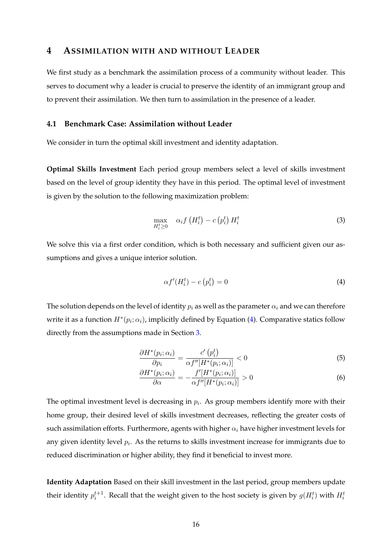## <span id="page-16-0"></span>**4 ASSIMILATION WITH AND WITHOUT LEADER**

We first study as a benchmark the assimilation process of a community without leader. This serves to document why a leader is crucial to preserve the identity of an immigrant group and to prevent their assimilation. We then turn to assimilation in the presence of a leader.

#### <span id="page-16-1"></span>**4.1 Benchmark Case: Assimilation without Leader**

We consider in turn the optimal skill investment and identity adaptation.

**Optimal Skills Investment** Each period group members select a level of skills investment based on the level of group identity they have in this period. The optimal level of investment is given by the solution to the following maximization problem:

<span id="page-16-3"></span>
$$
\max_{H_i^t \ge 0} \quad \alpha_i f\left(H_i^t\right) - c\left(p_i^t\right) H_i^t \tag{3}
$$

We solve this via a first order condition, which is both necessary and sufficient given our assumptions and gives a unique interior solution.

<span id="page-16-4"></span><span id="page-16-2"></span>
$$
\alpha f'(H_i^t) - c\left(p_i^t\right) = 0\tag{4}
$$

The solution depends on the level of identity  $p_i$  as well as the parameter  $\alpha_i$  and we can therefore write it as a function  $H^*(p_i; \alpha_i)$ , implicitly defined by Equation [\(4\)](#page-16-2). Comparative statics follow directly from the assumptions made in Section [3.](#page-11-0)

$$
\frac{\partial H^*(p_i; \alpha_i)}{\partial p_i} = \frac{c'\left(p_i^t\right)}{\alpha f''[H^*(p_i; \alpha_i)]} < 0\tag{5}
$$

$$
\frac{\partial H^*(p_i; \alpha_i)}{\partial \alpha} = -\frac{f'[H^*(p_i; \alpha_i)]}{\alpha f''[H^*(p_i; \alpha_i)]} > 0
$$
\n(6)

The optimal investment level is decreasing in  $p_i$ . As group members identify more with their home group, their desired level of skills investment decreases, reflecting the greater costs of such assimilation efforts. Furthermore, agents with higher  $\alpha_i$  have higher investment levels for any given identity level  $p_i$ . As the returns to skills investment increase for immigrants due to reduced discrimination or higher ability, they find it beneficial to invest more.

**Identity Adaptation** Based on their skill investment in the last period, group members update their identity  $p_i^{t+1}$ . Recall that the weight given to the host society is given by  $g(H_i^t)$  with  $H_i^t$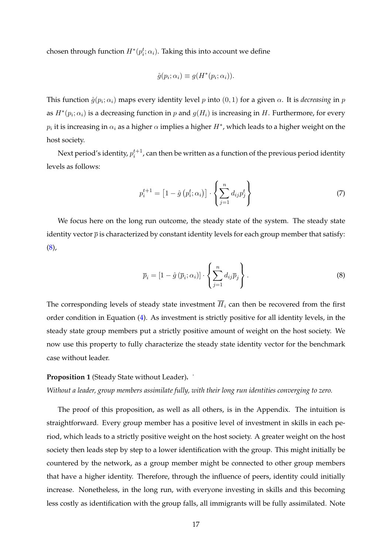chosen through function  $H^*(p_i^t; \alpha_i)$ . Taking this into account we define

$$
\hat{g}(p_i; \alpha_i) \equiv g(H^*(p_i; \alpha_i)).
$$

This function  $\hat{g}(p_i;\alpha_i)$  maps every identity level  $p$  into  $(0,1)$  for a given  $\alpha$ . It is *decreasing* in  $p$ as  $H^*(p_i; \alpha_i)$  is a decreasing function in p and  $g(H_i)$  is increasing in H. Furthermore, for every  $p_i$  it is increasing in  $\alpha_i$  as a higher  $\alpha$  implies a higher  $H^*$ , which leads to a higher weight on the host society.

Next period's identity,  $p_i^{t+1}$ , can then be written as a function of the previous period identity levels as follows:

<span id="page-17-2"></span>
$$
p_i^{t+1} = \left[1 - \hat{g}\left(p_i^t; \alpha_i\right)\right] \cdot \left\{\sum_{j=1}^n d_{ij} p_j^t\right\} \tag{7}
$$

We focus here on the long run outcome, the steady state of the system. The steady state identity vector  $\bar{p}$  is characterized by constant identity levels for each group member that satisfy:  $(8),$  $(8),$ 

<span id="page-17-0"></span>
$$
\overline{p}_i = \left[1 - \hat{g}\left(\overline{p}_i; \alpha_i\right)\right] \cdot \left\{\sum_{j=1}^n d_{ij} \overline{p}_j\right\}.
$$
\n(8)

The corresponding levels of steady state investment  $\overline{H}_i$  can then be recovered from the first order condition in Equation [\(4\)](#page-16-2). As investment is strictly positive for all identity levels, in the steady state group members put a strictly positive amount of weight on the host society. We now use this property to fully characterize the steady state identity vector for the benchmark case without leader.

#### <span id="page-17-1"></span>**Proposition 1** (Steady State without Leader)**.** *˙*

*Without a leader, group members assimilate fully, with their long run identities converging to zero.*

The proof of this proposition, as well as all others, is in the Appendix. The intuition is straightforward. Every group member has a positive level of investment in skills in each period, which leads to a strictly positive weight on the host society. A greater weight on the host society then leads step by step to a lower identification with the group. This might initially be countered by the network, as a group member might be connected to other group members that have a higher identity. Therefore, through the influence of peers, identity could initially increase. Nonetheless, in the long run, with everyone investing in skills and this becoming less costly as identification with the group falls, all immigrants will be fully assimilated. Note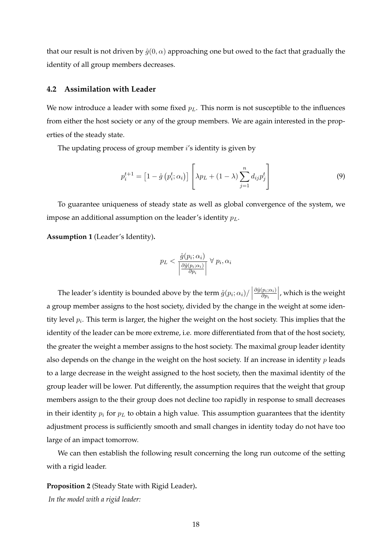that our result is not driven by  $\hat{q}(0, \alpha)$  approaching one but owed to the fact that gradually the identity of all group members decreases.

#### <span id="page-18-0"></span>**4.2 Assimilation with Leader**

We now introduce a leader with some fixed  $p<sub>L</sub>$ . This norm is not susceptible to the influences from either the host society or any of the group members. We are again interested in the properties of the steady state.

The updating process of group member  $i$ 's identity is given by

$$
p_i^{t+1} = [1 - \hat{g}(p_i^t; \alpha_i)] \left[ \lambda p_L + (1 - \lambda) \sum_{j=1}^n d_{ij} p_j^t \right]
$$
 (9)

To guarantee uniqueness of steady state as well as global convergence of the system, we impose an additional assumption on the leader's identity  $p<sub>L</sub>$ .

<span id="page-18-1"></span>**Assumption 1** (Leader's Identity)**.**

<span id="page-18-3"></span>
$$
p_L < \frac{\hat{g}(p_i; \alpha_i)}{\left|\frac{\partial \hat{g}(p_i; \alpha_i)}{\partial p_i}\right|} \,\forall\, p_i, \alpha_i
$$

The leader's identity is bounded above by the term  $\left.\hat{g}(p_i;\alpha_i)/\right|$  $\partial \hat{g}(p_i;\alpha_i)$ ∂p<sup>i</sup>   , which is the weight a group member assigns to the host society, divided by the change in the weight at some identity level  $p_i$ . This term is larger, the higher the weight on the host society. This implies that the identity of the leader can be more extreme, i.e. more differentiated from that of the host society, the greater the weight a member assigns to the host society. The maximal group leader identity also depends on the change in the weight on the host society. If an increase in identity  $p$  leads to a large decrease in the weight assigned to the host society, then the maximal identity of the group leader will be lower. Put differently, the assumption requires that the weight that group members assign to the their group does not decline too rapidly in response to small decreases in their identity  $p_i$  for  $p_l$  to obtain a high value. This assumption guarantees that the identity adjustment process is sufficiently smooth and small changes in identity today do not have too large of an impact tomorrow.

We can then establish the following result concerning the long run outcome of the setting with a rigid leader.

<span id="page-18-2"></span>**Proposition 2** (Steady State with Rigid Leader)**.** *In the model with a rigid leader:*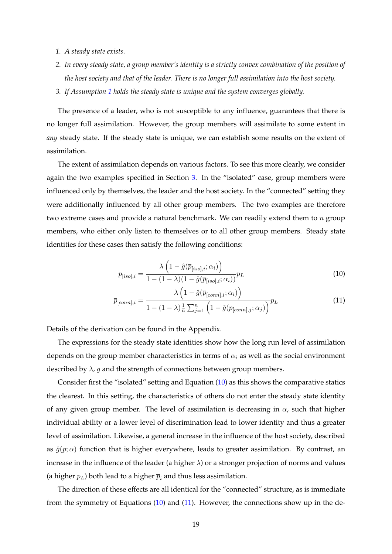- *1. A steady state exists.*
- *2. In every steady state, a group member's identity is a strictly convex combination of the position of the host society and that of the leader. There is no longer full assimilation into the host society.*
- *3. If Assumption [1](#page-18-1) holds the steady state is unique and the system converges globally.*

The presence of a leader, who is not susceptible to any influence, guarantees that there is no longer full assimilation. However, the group members will assimilate to some extent in *any* steady state. If the steady state is unique, we can establish some results on the extent of assimilation.

The extent of assimilation depends on various factors. To see this more clearly, we consider again the two examples specified in Section [3.](#page-11-0) In the "isolated" case, group members were influenced only by themselves, the leader and the host society. In the "connected" setting they were additionally influenced by all other group members. The two examples are therefore two extreme cases and provide a natural benchmark. We can readily extend them to  $n$  group members, who either only listen to themselves or to all other group members. Steady state identities for these cases then satisfy the following conditions:

<span id="page-19-1"></span><span id="page-19-0"></span>
$$
\overline{p}_{[iso],i} = \frac{\lambda \left(1 - \hat{g}(\overline{p}_{[iso],i}; \alpha_i)\right)}{1 - (1 - \lambda)(1 - \hat{g}(\overline{p}_{[iso],i}; \alpha_i))} p_L
$$
\n(10)

$$
\overline{p}_{[conn],i} = \frac{\lambda \left(1 - \hat{g}(\overline{p}_{[conn],i}; \alpha_i)\right)}{1 - (1 - \lambda)\frac{1}{n}\sum_{j=1}^n \left(1 - \hat{g}(\overline{p}_{[conn],j}; \alpha_j)\right)} p_L
$$
\n(11)

Details of the derivation can be found in the Appendix.

The expressions for the steady state identities show how the long run level of assimilation depends on the group member characteristics in terms of  $\alpha_i$  as well as the social environment described by  $\lambda$ , g and the strength of connections between group members.

Consider first the "isolated" setting and Equation [\(10\)](#page-19-0) as this shows the comparative statics the clearest. In this setting, the characteristics of others do not enter the steady state identity of any given group member. The level of assimilation is decreasing in  $\alpha$ , such that higher individual ability or a lower level of discrimination lead to lower identity and thus a greater level of assimilation. Likewise, a general increase in the influence of the host society, described as  $\hat{g}(p;\alpha)$  function that is higher everywhere, leads to greater assimilation. By contrast, an increase in the influence of the leader (a higher  $\lambda$ ) or a stronger projection of norms and values (a higher  $p_L$ ) both lead to a higher  $\bar{p}_i$  and thus less assimilation.

The direction of these effects are all identical for the "connected" structure, as is immediate from the symmetry of Equations [\(10\)](#page-19-0) and [\(11\)](#page-19-1). However, the connections show up in the de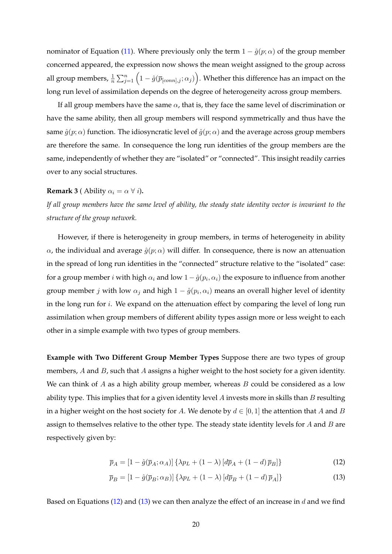nominator of Equation [\(11\)](#page-19-1). Where previously only the term  $1 - \hat{g}(p; \alpha)$  of the group member concerned appeared, the expression now shows the mean weight assigned to the group across all group members,  $\frac{1}{n}\sum_{j=1}^n\Big(1-\hat{g}(\overline{p}_{[conn],j};\alpha_j)\Big).$  Whether this difference has an impact on the long run level of assimilation depends on the degree of heterogeneity across group members.

If all group members have the same  $\alpha$ , that is, they face the same level of discrimination or have the same ability, then all group members will respond symmetrically and thus have the same  $\hat{g}(p;\alpha)$  function. The idiosyncratic level of  $\hat{g}(p;\alpha)$  and the average across group members are therefore the same. In consequence the long run identities of the group members are the same, independently of whether they are "isolated" or "connected". This insight readily carries over to any social structures.

#### **Remark 3** ( Ability  $\alpha_i = \alpha \ \forall i$ ).

*If all group members have the same level of ability, the steady state identity vector is invariant to the structure of the group network.*

However, if there is heterogeneity in group members, in terms of heterogeneity in ability  $\alpha$ , the individual and average  $\hat{g}(p;\alpha)$  will differ. In consequence, there is now an attenuation in the spread of long run identities in the "connected" structure relative to the "isolated" case: for a group member  $i$  with high  $\alpha_i$  and low  $1-\hat{g}(p_i,\alpha_i)$  the exposure to influence from another group member  $j$  with low  $\alpha_j$  and high  $1 - \hat{g}(p_i, \alpha_i)$  means an overall higher level of identity in the long run for  $i$ . We expand on the attenuation effect by comparing the level of long run assimilation when group members of different ability types assign more or less weight to each other in a simple example with two types of group members.

**Example with Two Different Group Member Types** Suppose there are two types of group members, A and B, such that A assigns a higher weight to the host society for a given identity. We can think of  $A$  as a high ability group member, whereas  $B$  could be considered as a low ability type. This implies that for a given identity level  $A$  invests more in skills than  $B$  resulting in a higher weight on the host society for A. We denote by  $d \in [0, 1]$  the attention that A and B assign to themselves relative to the other type. The steady state identity levels for  $A$  and  $B$  are respectively given by:

<span id="page-20-1"></span><span id="page-20-0"></span>
$$
\overline{p}_A = \left[1 - \hat{g}(\overline{p}_A; \alpha_A)\right] \left\{\lambda p_L + (1 - \lambda) \left[d\overline{p}_A + (1 - d)\overline{p}_B\right]\right\} \tag{12}
$$

$$
\overline{p}_B = [1 - \hat{g}(\overline{p}_B; \alpha_B)] \left\{ \lambda p_L + (1 - \lambda) \left[ d\overline{p}_B + (1 - d) \overline{p}_A \right] \right\} \tag{13}
$$

Based on Equations [\(12\)](#page-20-0) and [\(13\)](#page-20-1) we can then analyze the effect of an increase in d and we find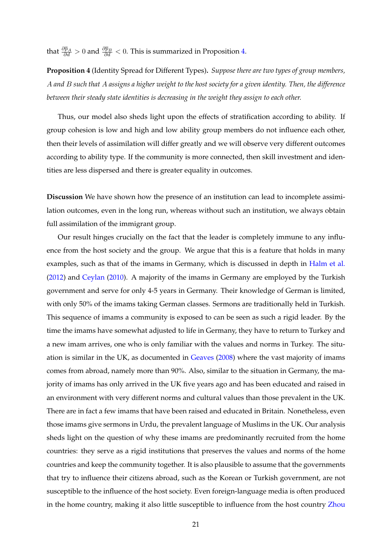that  $\frac{\partial \overline{p}_A}{\partial d} > 0$  and  $\frac{\partial \overline{p}_B}{\partial d} < 0$ . This is summarized in Proposition [4.](#page-21-0)

<span id="page-21-0"></span>**Proposition 4** (Identity Spread for Different Types)**.** *Suppose there are two types of group members,* A *and* B *such that* A *assigns a higher weight to the host society for a given identity. Then, the difference between their steady state identities is decreasing in the weight they assign to each other.*

Thus, our model also sheds light upon the effects of stratification according to ability. If group cohesion is low and high and low ability group members do not influence each other, then their levels of assimilation will differ greatly and we will observe very different outcomes according to ability type. If the community is more connected, then skill investment and identities are less dispersed and there is greater equality in outcomes.

**Discussion** We have shown how the presence of an institution can lead to incomplete assimilation outcomes, even in the long run, whereas without such an institution, we always obtain full assimilation of the immigrant group.

Our result hinges crucially on the fact that the leader is completely immune to any influence from the host society and the group. We argue that this is a feature that holds in many examples, such as that of the imams in Germany, which is discussed in depth in [Halm et al.](#page-35-9) [\(2012\)](#page-35-9) and [Ceylan](#page-34-4) [\(2010\)](#page-34-4). A majority of the imams in Germany are employed by the Turkish government and serve for only 4-5 years in Germany. Their knowledge of German is limited, with only 50% of the imams taking German classes. Sermons are traditionally held in Turkish. This sequence of imams a community is exposed to can be seen as such a rigid leader. By the time the imams have somewhat adjusted to life in Germany, they have to return to Turkey and a new imam arrives, one who is only familiar with the values and norms in Turkey. The situation is similar in the UK, as documented in [Geaves](#page-35-4) [\(2008\)](#page-35-4) where the vast majority of imams comes from abroad, namely more than 90%. Also, similar to the situation in Germany, the majority of imams has only arrived in the UK five years ago and has been educated and raised in an environment with very different norms and cultural values than those prevalent in the UK. There are in fact a few imams that have been raised and educated in Britain. Nonetheless, even those imams give sermons in Urdu, the prevalent language of Muslims in the UK. Our analysis sheds light on the question of why these imams are predominantly recruited from the home countries: they serve as a rigid institutions that preserves the values and norms of the home countries and keep the community together. It is also plausible to assume that the governments that try to influence their citizens abroad, such as the Korean or Turkish government, are not susceptible to the influence of the host society. Even foreign-language media is often produced in the home country, making it also little susceptible to influence from the host country [Zhou](#page-38-4)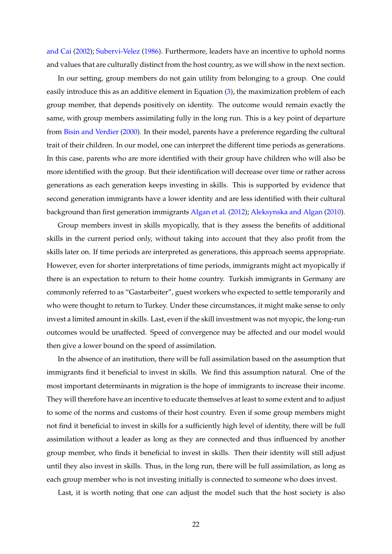[and Cai](#page-38-4) [\(2002\)](#page-38-4); [Subervi-Velez](#page-37-3) [\(1986\)](#page-37-3). Furthermore, leaders have an incentive to uphold norms and values that are culturally distinct from the host country, as we will show in the next section.

In our setting, group members do not gain utility from belonging to a group. One could easily introduce this as an additive element in Equation [\(3\)](#page-16-3), the maximization problem of each group member, that depends positively on identity. The outcome would remain exactly the same, with group members assimilating fully in the long run. This is a key point of departure from [Bisin and Verdier](#page-33-0) [\(2000\)](#page-33-0). In their model, parents have a preference regarding the cultural trait of their children. In our model, one can interpret the different time periods as generations. In this case, parents who are more identified with their group have children who will also be more identified with the group. But their identification will decrease over time or rather across generations as each generation keeps investing in skills. This is supported by evidence that second generation immigrants have a lower identity and are less identified with their cultural background than first generation immigrants [Algan et al.](#page-32-9) [\(2012\)](#page-32-9); [Aleksynska and Algan](#page-32-3) [\(2010\)](#page-32-3).

Group members invest in skills myopically, that is they assess the benefits of additional skills in the current period only, without taking into account that they also profit from the skills later on. If time periods are interpreted as generations, this approach seems appropriate. However, even for shorter interpretations of time periods, immigrants might act myopically if there is an expectation to return to their home country. Turkish immigrants in Germany are commonly referred to as "Gastarbeiter", guest workers who expected to settle temporarily and who were thought to return to Turkey. Under these circumstances, it might make sense to only invest a limited amount in skills. Last, even if the skill investment was not myopic, the long-run outcomes would be unaffected. Speed of convergence may be affected and our model would then give a lower bound on the speed of assimilation.

In the absence of an institution, there will be full assimilation based on the assumption that immigrants find it beneficial to invest in skills. We find this assumption natural. One of the most important determinants in migration is the hope of immigrants to increase their income. They will therefore have an incentive to educate themselves at least to some extent and to adjust to some of the norms and customs of their host country. Even if some group members might not find it beneficial to invest in skills for a sufficiently high level of identity, there will be full assimilation without a leader as long as they are connected and thus influenced by another group member, who finds it beneficial to invest in skills. Then their identity will still adjust until they also invest in skills. Thus, in the long run, there will be full assimilation, as long as each group member who is not investing initially is connected to someone who does invest.

Last, it is worth noting that one can adjust the model such that the host society is also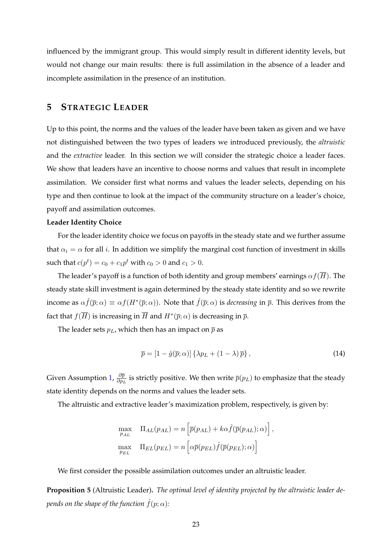influenced by the immigrant group. This would simply result in different identity levels, but would not change our main results: there is full assimilation in the absence of a leader and incomplete assimilation in the presence of an institution.

# <span id="page-23-0"></span>**5 STRATEGIC LEADER**

Up to this point, the norms and the values of the leader have been taken as given and we have not distinguished between the two types of leaders we introduced previously, the *altruistic* and the *extractive* leader. In this section we will consider the strategic choice a leader faces. We show that leaders have an incentive to choose norms and values that result in incomplete assimilation. We consider first what norms and values the leader selects, depending on his type and then continue to look at the impact of the community structure on a leader's choice, payoff and assimilation outcomes.

#### **Leader Identity Choice**

For the leader identity choice we focus on payoffs in the steady state and we further assume that  $\alpha_i = \alpha$  for all *i*. In addition we simplify the marginal cost function of investment in skills such that  $c(p^t) = c_0 + c_1 p^t$  with  $c_0 > 0$  and  $c_1 > 0$ .

The leader's payoff is a function of both identity and group members' earnings  $\alpha f(\overline{H})$ . The steady state skill investment is again determined by the steady state identity and so we rewrite income as  $\alpha \hat{f}(\bar{p};\alpha) \equiv \alpha f(H^*(\bar{p};\alpha))$ . Note that  $\hat{f}(\bar{p};\alpha)$  is *decreasing* in  $\bar{p}$ . This derives from the fact that  $f(\overline{H})$  is increasing in  $\overline{H}$  and  $H^{*}(\overline{p};\alpha)$  is decreasing in  $\overline{p}.$ 

The leader sets  $p_L$ , which then has an impact on  $\bar{p}$  as

<span id="page-23-2"></span>
$$
\overline{p} = \left[1 - \hat{g}(\overline{p}; \alpha)\right] \left\{\lambda p_L + \left(1 - \lambda\right) \overline{p}\right\},\tag{14}
$$

Given Assumption [1,](#page-18-1)  $\frac{\partial \bar{p}}{\partial n_i}$  $\frac{\partial p}{\partial p_L}$  is strictly positive. We then write  $\overline{p}(p_L)$  to emphasize that the steady state identity depends on the norms and values the leader sets.

The altruistic and extractive leader's maximization problem, respectively, is given by:

$$
\max_{p_{AL}} \quad \Pi_{AL}(p_{AL}) = n \left[ \overline{p}(p_{AL}) + k\alpha \hat{f}(\overline{p}(p_{AL}); \alpha) \right],
$$
  

$$
\max_{p_{EL}} \quad \Pi_{EL}(p_{EL}) = n \left[ \alpha \overline{p}(p_{EL}) \hat{f}(\overline{p}(p_{EL}); \alpha) \right]
$$

We first consider the possible assimilation outcomes under an altruistic leader.

<span id="page-23-1"></span>**Proposition 5** (Altruistic Leader)**.** *The optimal level of identity projected by the altruistic leader depends on the shape of the function*  $\hat{f}(p; \alpha)$ :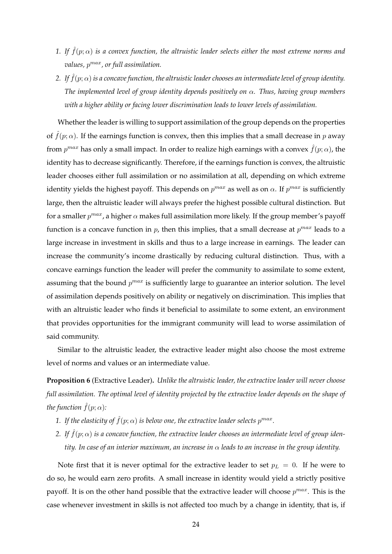- *1. If*  $\hat{f}(p;\alpha)$  *is a convex function, the altruistic leader selects either the most extreme norms and values,* p max*, or full assimilation.*
- *2. If*  $\hat{f}(p; \alpha)$  *is a concave function, the altruistic leader chooses an intermediate level of group identity. The implemented level of group identity depends positively on* α*. Thus, having group members with a higher ability or facing lower discrimination leads to lower levels of assimilation.*

Whether the leader is willing to support assimilation of the group depends on the properties of  $\hat{f}(p;\alpha)$ . If the earnings function is convex, then this implies that a small decrease in p away from  $p^{max}$  has only a small impact. In order to realize high earnings with a convex  $\hat{f}(p;\alpha)$ , the identity has to decrease significantly. Therefore, if the earnings function is convex, the altruistic leader chooses either full assimilation or no assimilation at all, depending on which extreme identity yields the highest payoff. This depends on  $p^{max}$  as well as on  $\alpha$ . If  $p^{max}$  is sufficiently large, then the altruistic leader will always prefer the highest possible cultural distinction. But for a smaller  $p^{max}$ , a higher  $\alpha$  makes full assimilation more likely. If the group member's payoff function is a concave function in  $p$ , then this implies, that a small decrease at  $p^{max}$  leads to a large increase in investment in skills and thus to a large increase in earnings. The leader can increase the community's income drastically by reducing cultural distinction. Thus, with a concave earnings function the leader will prefer the community to assimilate to some extent, assuming that the bound  $p^{max}$  is sufficiently large to guarantee an interior solution. The level of assimilation depends positively on ability or negatively on discrimination. This implies that with an altruistic leader who finds it beneficial to assimilate to some extent, an environment that provides opportunities for the immigrant community will lead to worse assimilation of said community.

Similar to the altruistic leader, the extractive leader might also choose the most extreme level of norms and values or an intermediate value.

<span id="page-24-0"></span>**Proposition 6** (Extractive Leader)**.** *Unlike the altruistic leader, the extractive leader will never choose full assimilation. The optimal level of identity projected by the extractive leader depends on the shape of the function*  $\hat{f}(p; \alpha)$ *:* 

- 1. If the elasticity of  $\hat{f}(p;\alpha)$  is below one, the extractive leader selects  $p^{max}.$
- 2. If  $f(p; \alpha)$  is a concave function, the extractive leader chooses an intermediate level of group iden*tity. In case of an interior maximum, an increase in* α *leads to an increase in the group identity.*

Note first that it is never optimal for the extractive leader to set  $p_L = 0$ . If he were to do so, he would earn zero profits. A small increase in identity would yield a strictly positive payoff. It is on the other hand possible that the extractive leader will choose  $p^{max}$ . This is the case whenever investment in skills is not affected too much by a change in identity, that is, if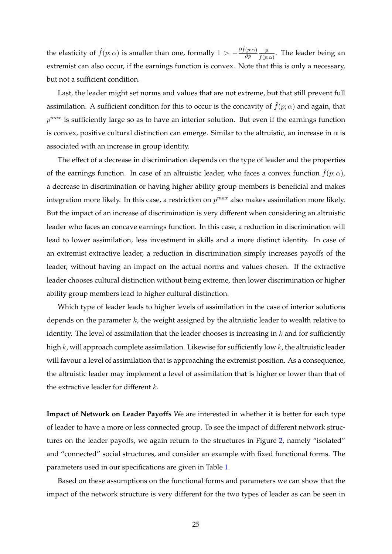the elasticity of  $\hat{f}(p;\alpha)$  is smaller than one, formally  $1 > -\frac{\partial \hat{f}(p;\alpha)}{\partial p}$ ∂p p  $\frac{p}{\hat{f}(p;\alpha)}$ . The leader being an extremist can also occur, if the earnings function is convex. Note that this is only a necessary, but not a sufficient condition.

Last, the leader might set norms and values that are not extreme, but that still prevent full assimilation. A sufficient condition for this to occur is the concavity of  $\hat{f}(p;\alpha)$  and again, that  $p^{max}$  is sufficiently large so as to have an interior solution. But even if the earnings function is convex, positive cultural distinction can emerge. Similar to the altruistic, an increase in  $\alpha$  is associated with an increase in group identity.

The effect of a decrease in discrimination depends on the type of leader and the properties of the earnings function. In case of an altruistic leader, who faces a convex function  $f(p; \alpha)$ , a decrease in discrimination or having higher ability group members is beneficial and makes integration more likely. In this case, a restriction on  $p^{max}$  also makes assimilation more likely. But the impact of an increase of discrimination is very different when considering an altruistic leader who faces an concave earnings function. In this case, a reduction in discrimination will lead to lower assimilation, less investment in skills and a more distinct identity. In case of an extremist extractive leader, a reduction in discrimination simply increases payoffs of the leader, without having an impact on the actual norms and values chosen. If the extractive leader chooses cultural distinction without being extreme, then lower discrimination or higher ability group members lead to higher cultural distinction.

Which type of leader leads to higher levels of assimilation in the case of interior solutions depends on the parameter  $k$ , the weight assigned by the altruistic leader to wealth relative to identity. The level of assimilation that the leader chooses is increasing in  $k$  and for sufficiently high k, will approach complete assimilation. Likewise for sufficiently low k, the altruistic leader will favour a level of assimilation that is approaching the extremist position. As a consequence, the altruistic leader may implement a level of assimilation that is higher or lower than that of the extractive leader for different  $k$ .

**Impact of Network on Leader Payoffs** We are interested in whether it is better for each type of leader to have a more or less connected group. To see the impact of different network structures on the leader payoffs, we again return to the structures in Figure [2,](#page-13-0) namely "isolated" and "connected" social structures, and consider an example with fixed functional forms. The parameters used in our specifications are given in Table [1.](#page-26-0)

Based on these assumptions on the functional forms and parameters we can show that the impact of the network structure is very different for the two types of leader as can be seen in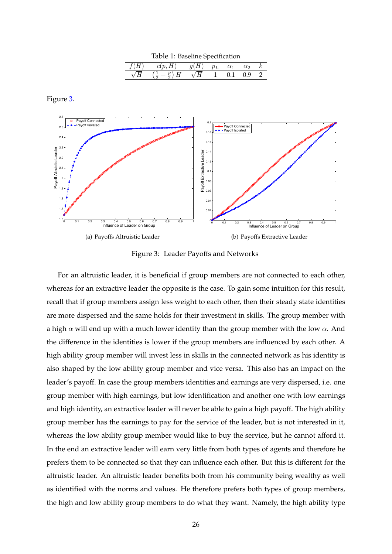<span id="page-26-0"></span>

| Table 1: Baseline Specification |        |      |       |            |          |  |
|---------------------------------|--------|------|-------|------------|----------|--|
|                                 | c(p,H) | q(H) | $p_L$ | $\alpha_1$ | $\alpha$ |  |
|                                 |        |      |       | 0.1        | (1.9)    |  |

Figure [3.](#page-26-1)



<span id="page-26-1"></span>Figure 3: Leader Payoffs and Networks

For an altruistic leader, it is beneficial if group members are not connected to each other, whereas for an extractive leader the opposite is the case. To gain some intuition for this result, recall that if group members assign less weight to each other, then their steady state identities are more dispersed and the same holds for their investment in skills. The group member with a high  $\alpha$  will end up with a much lower identity than the group member with the low  $\alpha$ . And the difference in the identities is lower if the group members are influenced by each other. A high ability group member will invest less in skills in the connected network as his identity is also shaped by the low ability group member and vice versa. This also has an impact on the leader's payoff. In case the group members identities and earnings are very dispersed, i.e. one group member with high earnings, but low identification and another one with low earnings and high identity, an extractive leader will never be able to gain a high payoff. The high ability group member has the earnings to pay for the service of the leader, but is not interested in it, whereas the low ability group member would like to buy the service, but he cannot afford it. In the end an extractive leader will earn very little from both types of agents and therefore he prefers them to be connected so that they can influence each other. But this is different for the altruistic leader. An altruistic leader benefits both from his community being wealthy as well as identified with the norms and values. He therefore prefers both types of group members, the high and low ability group members to do what they want. Namely, the high ability type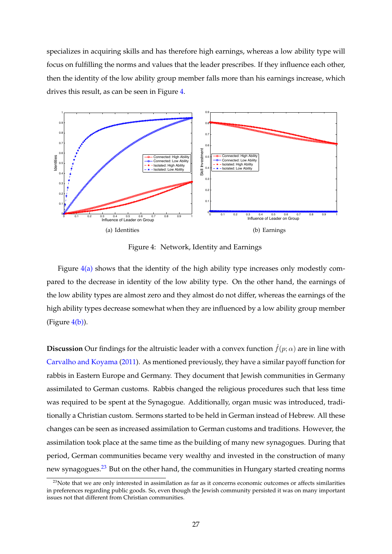specializes in acquiring skills and has therefore high earnings, whereas a low ability type will focus on fulfilling the norms and values that the leader prescribes. If they influence each other, then the identity of the low ability group member falls more than his earnings increase, which drives this result, as can be seen in Figure [4.](#page-27-0)

<span id="page-27-1"></span>

<span id="page-27-2"></span><span id="page-27-0"></span>Figure 4: Network, Identity and Earnings

Figure  $4(a)$  shows that the identity of the high ability type increases only modestly compared to the decrease in identity of the low ability type. On the other hand, the earnings of the low ability types are almost zero and they almost do not differ, whereas the earnings of the high ability types decrease somewhat when they are influenced by a low ability group member (Figure  $4(b)$ ).

**Discussion** Our findings for the altruistic leader with a convex function  $\hat{f}(p; \alpha)$  are in line with [Carvalho and Koyama](#page-34-5) [\(2011\)](#page-34-5). As mentioned previously, they have a similar payoff function for rabbis in Eastern Europe and Germany. They document that Jewish communities in Germany assimilated to German customs. Rabbis changed the religious procedures such that less time was required to be spent at the Synagogue. Additionally, organ music was introduced, traditionally a Christian custom. Sermons started to be held in German instead of Hebrew. All these changes can be seen as increased assimilation to German customs and traditions. However, the assimilation took place at the same time as the building of many new synagogues. During that period, German communities became very wealthy and invested in the construction of many new synagogues.<sup>[23](#page-27-3)</sup> But on the other hand, the communities in Hungary started creating norms

<span id="page-27-3"></span> $23$ Note that we are only interested in assimilation as far as it concerns economic outcomes or affects similarities in preferences regarding public goods. So, even though the Jewish community persisted it was on many important issues not that different from Christian communities.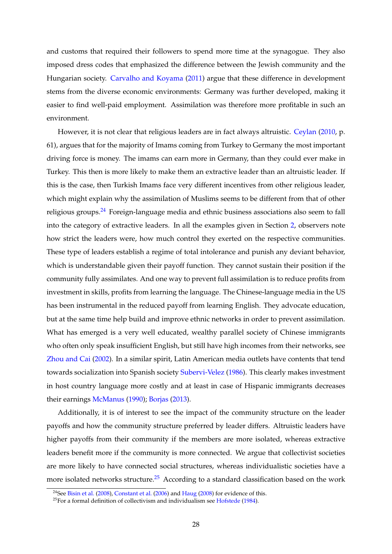and customs that required their followers to spend more time at the synagogue. They also imposed dress codes that emphasized the difference between the Jewish community and the Hungarian society. [Carvalho and Koyama](#page-34-5) [\(2011\)](#page-34-5) argue that these difference in development stems from the diverse economic environments: Germany was further developed, making it easier to find well-paid employment. Assimilation was therefore more profitable in such an environment.

However, it is not clear that religious leaders are in fact always altruistic. [Ceylan](#page-34-4) [\(2010,](#page-34-4) p. 61), argues that for the majority of Imams coming from Turkey to Germany the most important driving force is money. The imams can earn more in Germany, than they could ever make in Turkey. This then is more likely to make them an extractive leader than an altruistic leader. If this is the case, then Turkish Imams face very different incentives from other religious leader, which might explain why the assimilation of Muslims seems to be different from that of other religious groups. $24$  Foreign-language media and ethnic business associations also seem to fall into the category of extractive leaders. In all the examples given in Section [2,](#page-7-0) observers note how strict the leaders were, how much control they exerted on the respective communities. These type of leaders establish a regime of total intolerance and punish any deviant behavior, which is understandable given their payoff function. They cannot sustain their position if the community fully assimilates. And one way to prevent full assimilation is to reduce profits from investment in skills, profits from learning the language. The Chinese-language media in the US has been instrumental in the reduced payoff from learning English. They advocate education, but at the same time help build and improve ethnic networks in order to prevent assimilation. What has emerged is a very well educated, wealthy parallel society of Chinese immigrants who often only speak insufficient English, but still have high incomes from their networks, see [Zhou and Cai](#page-38-4) [\(2002\)](#page-38-4). In a similar spirit, Latin American media outlets have contents that tend towards socialization into Spanish society [Subervi-Velez](#page-37-3) [\(1986\)](#page-37-3). This clearly makes investment in host country language more costly and at least in case of Hispanic immigrants decreases their earnings [McManus](#page-36-2) [\(1990\)](#page-36-2); [Borjas](#page-33-3) [\(2013\)](#page-33-3).

Additionally, it is of interest to see the impact of the community structure on the leader payoffs and how the community structure preferred by leader differs. Altruistic leaders have higher payoffs from their community if the members are more isolated, whereas extractive leaders benefit more if the community is more connected. We argue that collectivist societies are more likely to have connected social structures, whereas individualistic societies have a more isolated networks structure.<sup>[25](#page-28-1)</sup> According to a standard classification based on the work

<span id="page-28-0"></span><sup>&</sup>lt;sup>24</sup>See [Bisin et al.](#page-33-1) [\(2008\)](#page-36-8), [Constant et al.](#page-35-3) [\(2006\)](#page-35-3) and [Haug](#page-36-8) (2008) for evidence of this.

<span id="page-28-1"></span> $25$  For a formal definition of collectivism and individualism see [Hofstede](#page-36-12) [\(1984\)](#page-36-12).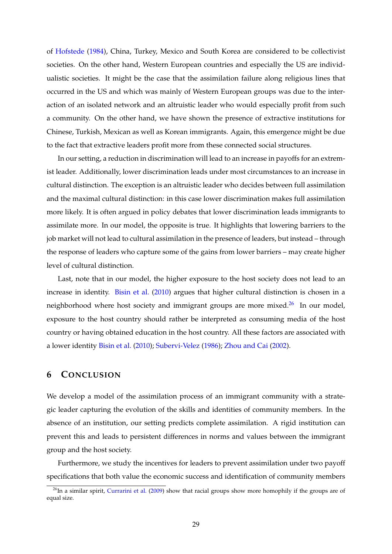of [Hofstede](#page-36-12) [\(1984\)](#page-36-12), China, Turkey, Mexico and South Korea are considered to be collectivist societies. On the other hand, Western European countries and especially the US are individualistic societies. It might be the case that the assimilation failure along religious lines that occurred in the US and which was mainly of Western European groups was due to the interaction of an isolated network and an altruistic leader who would especially profit from such a community. On the other hand, we have shown the presence of extractive institutions for Chinese, Turkish, Mexican as well as Korean immigrants. Again, this emergence might be due to the fact that extractive leaders profit more from these connected social structures.

In our setting, a reduction in discrimination will lead to an increase in payoffs for an extremist leader. Additionally, lower discrimination leads under most circumstances to an increase in cultural distinction. The exception is an altruistic leader who decides between full assimilation and the maximal cultural distinction: in this case lower discrimination makes full assimilation more likely. It is often argued in policy debates that lower discrimination leads immigrants to assimilate more. In our model, the opposite is true. It highlights that lowering barriers to the job market will not lead to cultural assimilation in the presence of leaders, but instead – through the response of leaders who capture some of the gains from lower barriers – may create higher level of cultural distinction.

Last, note that in our model, the higher exposure to the host society does not lead to an increase in identity. [Bisin et al.](#page-33-8) [\(2010\)](#page-33-8) argues that higher cultural distinction is chosen in a neighborhood where host society and immigrant groups are more mixed.<sup>[26](#page-29-1)</sup> In our model, exposure to the host country should rather be interpreted as consuming media of the host country or having obtained education in the host country. All these factors are associated with a lower identity [Bisin et al.](#page-33-8) [\(2010\)](#page-33-8); [Subervi-Velez](#page-37-3) [\(1986\)](#page-37-3); [Zhou and Cai](#page-38-4) [\(2002\)](#page-38-4).

### <span id="page-29-0"></span>**6 CONCLUSION**

We develop a model of the assimilation process of an immigrant community with a strategic leader capturing the evolution of the skills and identities of community members. In the absence of an institution, our setting predicts complete assimilation. A rigid institution can prevent this and leads to persistent differences in norms and values between the immigrant group and the host society.

Furthermore, we study the incentives for leaders to prevent assimilation under two payoff specifications that both value the economic success and identification of community members

<span id="page-29-1"></span> $^{26}$ In a similar spirit, [Currarini et al.](#page-35-10) [\(2009\)](#page-35-10) show that racial groups show more homophily if the groups are of equal size.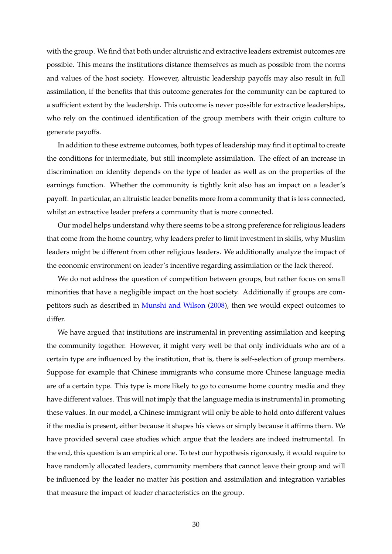with the group. We find that both under altruistic and extractive leaders extremist outcomes are possible. This means the institutions distance themselves as much as possible from the norms and values of the host society. However, altruistic leadership payoffs may also result in full assimilation, if the benefits that this outcome generates for the community can be captured to a sufficient extent by the leadership. This outcome is never possible for extractive leaderships, who rely on the continued identification of the group members with their origin culture to generate payoffs.

In addition to these extreme outcomes, both types of leadership may find it optimal to create the conditions for intermediate, but still incomplete assimilation. The effect of an increase in discrimination on identity depends on the type of leader as well as on the properties of the earnings function. Whether the community is tightly knit also has an impact on a leader's payoff. In particular, an altruistic leader benefits more from a community that is less connected, whilst an extractive leader prefers a community that is more connected.

Our model helps understand why there seems to be a strong preference for religious leaders that come from the home country, why leaders prefer to limit investment in skills, why Muslim leaders might be different from other religious leaders. We additionally analyze the impact of the economic environment on leader's incentive regarding assimilation or the lack thereof.

We do not address the question of competition between groups, but rather focus on small minorities that have a negligible impact on the host society. Additionally if groups are competitors such as described in [Munshi and Wilson](#page-37-6) [\(2008\)](#page-37-6), then we would expect outcomes to differ.

We have argued that institutions are instrumental in preventing assimilation and keeping the community together. However, it might very well be that only individuals who are of a certain type are influenced by the institution, that is, there is self-selection of group members. Suppose for example that Chinese immigrants who consume more Chinese language media are of a certain type. This type is more likely to go to consume home country media and they have different values. This will not imply that the language media is instrumental in promoting these values. In our model, a Chinese immigrant will only be able to hold onto different values if the media is present, either because it shapes his views or simply because it affirms them. We have provided several case studies which argue that the leaders are indeed instrumental. In the end, this question is an empirical one. To test our hypothesis rigorously, it would require to have randomly allocated leaders, community members that cannot leave their group and will be influenced by the leader no matter his position and assimilation and integration variables that measure the impact of leader characteristics on the group.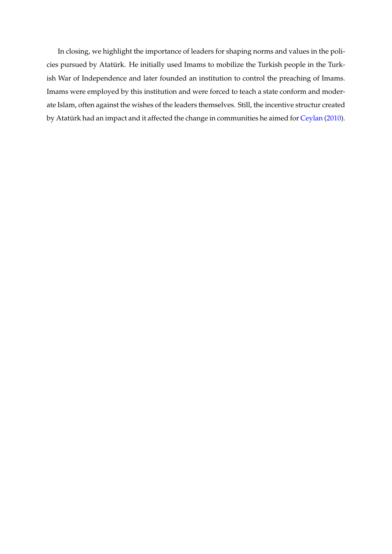In closing, we highlight the importance of leaders for shaping norms and values in the policies pursued by Atatürk. He initially used Imams to mobilize the Turkish people in the Turkish War of Independence and later founded an institution to control the preaching of Imams. Imams were employed by this institution and were forced to teach a state conform and moderate Islam, often against the wishes of the leaders themselves. Still, the incentive structur created by Atatürk had an impact and it affected the change in communities he aimed for [Ceylan](#page-34-4) [\(2010\)](#page-34-4).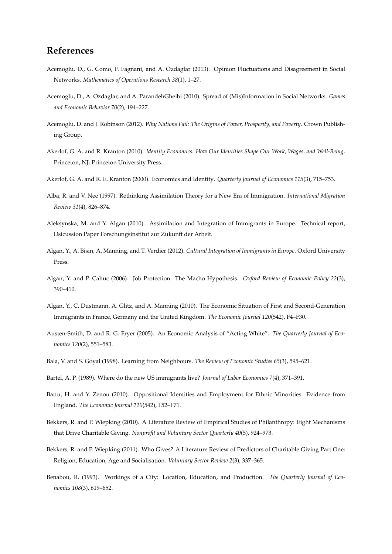# **References**

- <span id="page-32-5"></span>Acemoglu, D., G. Como, F. Fagnani, and A. Ozdaglar (2013). Opinion Fluctuations and Disagreement in Social Networks. *Mathematics of Operations Research 38*(1), 1–27.
- <span id="page-32-6"></span>Acemoglu, D., A. Ozdaglar, and A. ParandehGheibi (2010). Spread of (Mis)Information in Social Networks. *Games and Economic Behavior 70*(2), 194–227.
- Acemoglu, D. and J. Robinson (2012). *Why Nations Fail: The Origins of Power, Prosperity, and Poverty*. Crown Publishing Group.
- <span id="page-32-2"></span>Akerlof, G. A. and R. Kranton (2010). *Identity Economics: How Our Identities Shape Our Work, Wages, and Well-Being*. Princeton, NJ: Princeton University Press.
- <span id="page-32-1"></span>Akerlof, G. A. and R. E. Kranton (2000). Economics and Identity. *Quarterly Journal of Economics 115*(3), 715–753.
- <span id="page-32-0"></span>Alba, R. and V. Nee (1997). Rethinking Assimilation Theory for a New Era of Immigration. *International Migration Review 31*(4), 826–874.
- <span id="page-32-3"></span>Aleksynska, M. and Y. Algan (2010). Assimilation and Integration of Immigrants in Europe. Technical report, Dsicussion Paper Forschungsinstitut zur Zukunft der Arbeit.
- <span id="page-32-9"></span>Algan, Y., A. Bisin, A. Manning, and T. Verdier (2012). *Cultural Integration of Immigrants in Europe*. Oxford University Press.
- <span id="page-32-8"></span>Algan, Y. and P. Cahuc (2006). Job Protection: The Macho Hypothesis. *Oxford Review of Economic Policy 22*(3), 390–410.
- Algan, Y., C. Dustmann, A. Glitz, and A. Manning (2010). The Economic Situation of First and Second-Generation Immigrants in France, Germany and the United Kingdom. *The Economic Journal 120*(542), F4–F30.
- Austen-Smith, D. and R. G. Fryer (2005). An Economic Analysis of "Acting White". *The Quarterly Journal of Economics 120*(2), 551–583.
- Bala, V. and S. Goyal (1998). Learning from Neighbours. *The Review of Economic Studies 65*(3), 595–621.
- <span id="page-32-7"></span>Bartel, A. P. (1989). Where do the new US immigrants live? *Journal of Labor Economics 7*(4), 371–391.
- Battu, H. and Y. Zenou (2010). Oppositional Identities and Employment for Ethnic Minorities: Evidence from England. *The Economic Journal 120*(542), F52–F71.
- Bekkers, R. and P. Wiepking (2010). A Literature Review of Empirical Studies of Philanthropy: Eight Mechanisms that Drive Charitable Giving. *Nonprofit and Voluntary Sector Quarterly 40*(5), 924–973.
- <span id="page-32-4"></span>Bekkers, R. and P. Wiepking (2011). Who Gives? A Literature Review of Predictors of Charitable Giving Part One: Religion, Education, Age and Socialisation. *Voluntary Sector Review 2*(3), 337–365.
- Benabou, R. (1993). Workings of a City: Location, Education, and Production. *The Quarterly Journal of Economics 108*(3), 619–652.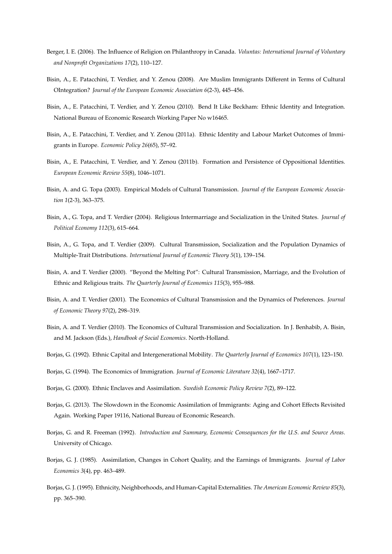- <span id="page-33-5"></span>Berger, I. E. (2006). The Influence of Religion on Philanthropy in Canada. *Voluntas: International Journal of Voluntary and Nonprofit Organizations 17*(2), 110–127.
- <span id="page-33-1"></span>Bisin, A., E. Patacchini, T. Verdier, and Y. Zenou (2008). Are Muslim Immigrants Different in Terms of Cultural OIntegration? *Journal of the European Economic Association 6*(2-3), 445–456.
- <span id="page-33-8"></span>Bisin, A., E. Patacchini, T. Verdier, and Y. Zenou (2010). Bend It Like Beckham: Ethnic Identity and Integration. National Bureau of Economic Research Working Paper No w16465.
- Bisin, A., E. Patacchini, T. Verdier, and Y. Zenou (2011a). Ethnic Identity and Labour Market Outcomes of Immigrants in Europe. *Economic Policy 26*(65), 57–92.
- Bisin, A., E. Patacchini, T. Verdier, and Y. Zenou (2011b). Formation and Persistence of Oppositional Identities. *European Economic Review 55*(8), 1046–1071.
- Bisin, A. and G. Topa (2003). Empirical Models of Cultural Transmission. *Journal of the European Economic Association 1*(2-3), 363–375.
- Bisin, A., G. Topa, and T. Verdier (2004). Religious Intermarriage and Socialization in the United States. *Journal of Political Economy 112*(3), 615–664.
- Bisin, A., G. Topa, and T. Verdier (2009). Cultural Transmission, Socialization and the Population Dynamics of Multiple-Trait Distributions. *International Journal of Economic Theory 5*(1), 139–154.
- <span id="page-33-0"></span>Bisin, A. and T. Verdier (2000). "Beyond the Melting Pot": Cultural Transmission, Marriage, and the Evolution of Ethnic and Religious traits. *The Quarterly Journal of Economics 115*(3), 955–988.
- <span id="page-33-6"></span>Bisin, A. and T. Verdier (2001). The Economics of Cultural Transmission and the Dynamics of Preferences. *Journal of Economic Theory 97*(2), 298–319.
- <span id="page-33-7"></span>Bisin, A. and T. Verdier (2010). The Economics of Cultural Transmission and Socialization. In J. Benhabib, A. Bisin, and M. Jackson (Eds.), *Handbook of Social Economics*. North-Holland.
- Borjas, G. (1992). Ethnic Capital and Intergenerational Mobility. *The Quarterly Journal of Economics 107*(1), 123–150.
- Borjas, G. (1994). The Economics of Immigration. *Journal of Economic Literature 32*(4), 1667–1717.
- Borjas, G. (2000). Ethnic Enclaves and Assimilation. *Swedish Economic Policy Review 7*(2), 89–122.
- <span id="page-33-3"></span>Borjas, G. (2013). The Slowdown in the Economic Assimilation of Immigrants: Aging and Cohort Effects Revisited Again. Working Paper 19116, National Bureau of Economic Research.
- <span id="page-33-4"></span>Borjas, G. and R. Freeman (1992). *Introduction and Summary, Economic Consequences for the U.S. and Source Areas*. University of Chicago.
- <span id="page-33-2"></span>Borjas, G. J. (1985). Assimilation, Changes in Cohort Quality, and the Earnings of Immigrants. *Journal of Labor Economics 3*(4), pp. 463–489.
- Borjas, G. J. (1995). Ethnicity, Neighborhoods, and Human-Capital Externalities. *The American Economic Review 85*(3), pp. 365–390.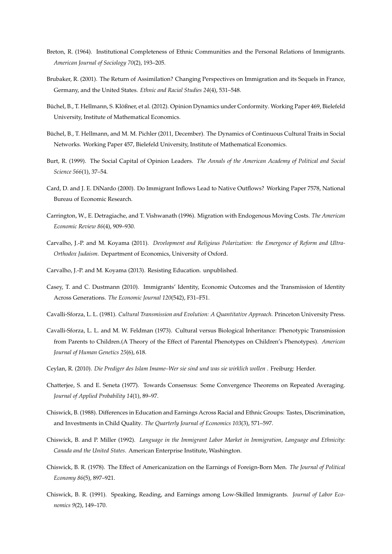- <span id="page-34-3"></span>Breton, R. (1964). Institutional Completeness of Ethnic Communities and the Personal Relations of Immigrants. *American Journal of Sociology 70*(2), 193–205.
- <span id="page-34-0"></span>Brubaker, R. (2001). The Return of Assimilation? Changing Perspectives on Immigration and its Sequels in France, Germany, and the United States. *Ethnic and Racial Studies 24*(4), 531–548.
- <span id="page-34-8"></span>Büchel, B., T. Hellmann, S. Klößner, et al. (2012). Opinion Dynamics under Conformity. Working Paper 469, Bielefeld University, Institute of Mathematical Economics.
- <span id="page-34-7"></span>Büchel, B., T. Hellmann, and M. M. Pichler (2011, December). The Dynamics of Continuous Cultural Traits in Social Networks. Working Paper 457, Bielefeld University, Institute of Mathematical Economics.
- Burt, R. (1999). The Social Capital of Opinion Leaders. *The Annals of the American Academy of Political and Social Science 566*(1), 37–54.
- Card, D. and J. E. DiNardo (2000). Do Immigrant Inflows Lead to Native Outflows? Working Paper 7578, National Bureau of Economic Research.
- Carrington, W., E. Detragiache, and T. Vishwanath (1996). Migration with Endogenous Moving Costs. *The American Economic Review 86*(4), 909–930.
- <span id="page-34-5"></span>Carvalho, J.-P. and M. Koyama (2011). *Development and Religious Polarization: the Emergence of Reform and Ultra-Orthodox Judaism*. Department of Economics, University of Oxford.
- Carvalho, J.-P. and M. Koyama (2013). Resisting Education. unpublished.
- Casey, T. and C. Dustmann (2010). Immigrants' Identity, Economic Outcomes and the Transmission of Identity Across Generations. *The Economic Journal 120*(542), F31–F51.
- <span id="page-34-9"></span>Cavalli-Sforza, L. L. (1981). *Cultural Transmission and Evolution: A Quantitative Approach*. Princeton University Press.
- <span id="page-34-6"></span>Cavalli-Sforza, L. L. and M. W. Feldman (1973). Cultural versus Biological Inheritance: Phenotypic Transmission from Parents to Children.(A Theory of the Effect of Parental Phenotypes on Children's Phenotypes). *American Journal of Human Genetics 25*(6), 618.
- <span id="page-34-4"></span>Ceylan, R. (2010). *Die Prediger des Islam Imame–Wer sie sind und was sie wirklich wollen* . Freiburg: Herder.
- Chatterjee, S. and E. Seneta (1977). Towards Consensus: Some Convergence Theorems on Repeated Averaging. *Journal of Applied Probability 14*(1), 89–97.
- Chiswick, B. (1988). Differences in Education and Earnings Across Racial and Ethnic Groups: Tastes, Discrimination, and Investments in Child Quality. *The Quarterly Journal of Economics 103*(3), 571–597.
- <span id="page-34-2"></span>Chiswick, B. and P. Miller (1992). *Language in the Immigrant Labor Market in Immigration, Language and Ethnicity: Canada and the United States*. American Enterprise Institute, Washington.
- Chiswick, B. R. (1978). The Effect of Americanization on the Earnings of Foreign-Born Men. *The Journal of Political Economy 86*(5), 897–921.
- <span id="page-34-1"></span>Chiswick, B. R. (1991). Speaking, Reading, and Earnings among Low-Skilled Immigrants. *Journal of Labor Economics 9*(2), 149–170.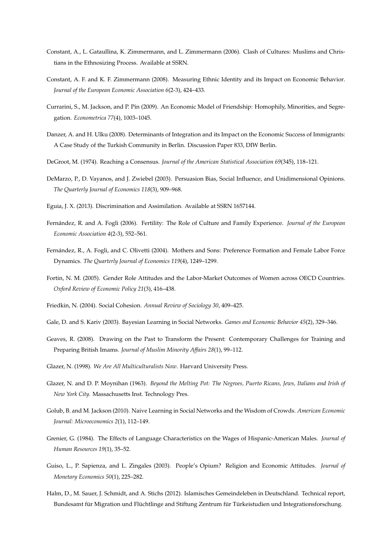- <span id="page-35-3"></span>Constant, A., L. Gataullina, K. Zimmermann, and L. Zimmermann (2006). Clash of Cultures: Muslims and Christians in the Ethnosizing Process. Available at SSRN.
- Constant, A. F. and K. F. Zimmermann (2008). Measuring Ethnic Identity and its Impact on Economic Behavior. *Journal of the European Economic Association 6*(2-3), 424–433.
- <span id="page-35-10"></span>Currarini, S., M. Jackson, and P. Pin (2009). An Economic Model of Friendship: Homophily, Minorities, and Segregation. *Econometrica 77*(4), 1003–1045.
- Danzer, A. and H. Ulku (2008). Determinants of Integration and its Impact on the Economic Success of Immigrants: A Case Study of the Turkish Community in Berlin. Discussion Paper 833, DIW Berlin.
- DeGroot, M. (1974). Reaching a Consensus. *Journal of the American Statistical Association 69*(345), 118–121.
- <span id="page-35-6"></span>DeMarzo, P., D. Vayanos, and J. Zwiebel (2003). Persuasion Bias, Social Influence, and Unidimensional Opinions. *The Quarterly Journal of Economics 118*(3), 909–968.
- Eguia, J. X. (2013). Discrimination and Assimilation. Available at SSRN 1657144.
- Fernández, R. and A. Fogli (2006). Fertility: The Role of Culture and Family Experience. *Journal of the European Economic Association 4*(2-3), 552–561.
- Fernández, R., A. Fogli, and C. Olivetti (2004). Mothers and Sons: Preference Formation and Female Labor Force Dynamics. *The Quarterly Journal of Economics 119*(4), 1249–1299.
- <span id="page-35-7"></span>Fortin, N. M. (2005). Gender Role Attitudes and the Labor-Market Outcomes of Women across OECD Countries. *Oxford Review of Economic Policy 21*(3), 416–438.
- Friedkin, N. (2004). Social Cohesion. *Annual Review of Sociology 30*, 409–425.
- Gale, D. and S. Kariv (2003). Bayesian Learning in Social Networks. *Games and Economic Behavior 45*(2), 329–346.
- <span id="page-35-4"></span>Geaves, R. (2008). Drawing on the Past to Transform the Present: Contemporary Challenges for Training and Preparing British Imams. *Journal of Muslim Minority Affairs 28*(1), 99–112.
- <span id="page-35-1"></span>Glazer, N. (1998). *We Are All Multiculturalists Now*. Harvard University Press.
- <span id="page-35-0"></span>Glazer, N. and D. P. Moynihan (1963). *Beyond the Melting Pot: The Negroes, Puerto Ricans, Jews, Italians and Irish of New York City.* Massachusetts Inst. Technology Pres.
- <span id="page-35-5"></span>Golub, B. and M. Jackson (2010). Naive Learning in Social Networks and the Wisdom of Crowds. *American Economic Journal: Microeconomics 2*(1), 112–149.
- <span id="page-35-2"></span>Grenier, G. (1984). The Effects of Language Characteristics on the Wages of Hispanic-American Males. *Journal of Human Resources 19*(1), 35–52.
- <span id="page-35-8"></span>Guiso, L., P. Sapienza, and L. Zingales (2003). People's Opium? Religion and Economic Attitudes. *Journal of Monetary Economics 50*(1), 225–282.
- <span id="page-35-9"></span>Halm, D., M. Sauer, J. Schmidt, and A. Stichs (2012). Islamisches Gemeindeleben in Deutschland. Technical report, Bundesamt für Migration und Flüchtlinge and Stiftung Zentrum für Türkeistudien und Integrationsforschung.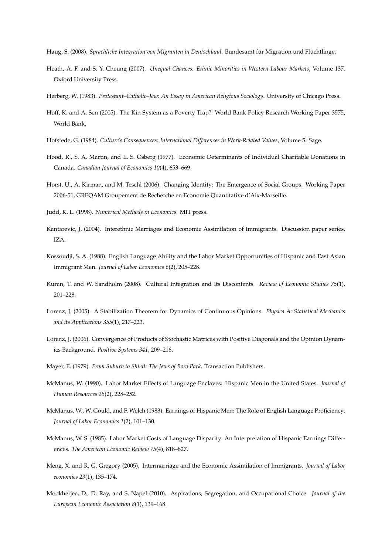- Heath, A. F. and S. Y. Cheung (2007). *Unequal Chances: Ethnic Minorities in Western Labour Markets*, Volume 137. Oxford University Press.
- <span id="page-36-0"></span>Herberg, W. (1983). *Protestant–Catholic–Jew: An Essay in American Religious Sociology*. University of Chicago Press.
- <span id="page-36-11"></span>Hoff, K. and A. Sen (2005). The Kin System as a Poverty Trap? World Bank Policy Research Working Paper 3575, World Bank.
- <span id="page-36-12"></span>Hofstede, G. (1984). *Culture's Consequences: International Differences in Work-Related Values*, Volume 5. Sage.
- Hood, R., S. A. Martin, and L. S. Osberg (1977). Economic Determinants of Individual Charitable Donations in Canada. *Canadian Journal of Economics 10*(4), 653–669.
- Horst, U., A. Kirman, and M. Teschl (2006). Changing Identity: The Emergence of Social Groups. Working Paper 2006-51, GREQAM Groupement de Recherche en Economie Quantitative d'Aix-Marseille.
- <span id="page-36-13"></span>Judd, K. L. (1998). *Numerical Methods in Economics*. MIT press.
- <span id="page-36-7"></span>Kantarevic, J. (2004). Interethnic Marriages and Economic Assimilation of Immigrants. Discussion paper series, IZA.
- <span id="page-36-5"></span>Kossoudji, S. A. (1988). English Language Ability and the Labor Market Opportunities of Hispanic and East Asian Immigrant Men. *Journal of Labor Economics 6*(2), 205–228.
- Kuran, T. and W. Sandholm (2008). Cultural Integration and Its Discontents. *Review of Economic Studies 75*(1), 201–228.
- <span id="page-36-9"></span>Lorenz, J. (2005). A Stabilization Theorem for Dynamics of Continuous Opinions. *Physica A: Statistical Mechanics and its Applications 355*(1), 217–223.
- <span id="page-36-10"></span>Lorenz, J. (2006). Convergence of Products of Stochastic Matrices with Positive Diagonals and the Opinion Dynamics Background. *Positive Systems 341*, 209–216.
- <span id="page-36-1"></span>Mayer, E. (1979). *From Suburb to Shtetl: The Jews of Boro Park*. Transaction Publishers.
- <span id="page-36-2"></span>McManus, W. (1990). Labor Market Effects of Language Enclaves: Hispanic Men in the United States. *Journal of Human Resources 25*(2), 228–252.
- <span id="page-36-3"></span>McManus, W., W. Gould, and F. Welch (1983). Earnings of Hispanic Men: The Role of English Language Proficiency. *Journal of Labor Economics 1*(2), 101–130.
- <span id="page-36-4"></span>McManus, W. S. (1985). Labor Market Costs of Language Disparity: An Interpretation of Hispanic Earnings Differences. *The American Economic Review 75*(4), 818–827.
- <span id="page-36-6"></span>Meng, X. and R. G. Gregory (2005). Intermarriage and the Economic Assimilation of Immigrants. *Journal of Labor economics 23*(1), 135–174.
- Mookherjee, D., D. Ray, and S. Napel (2010). Aspirations, Segregation, and Occupational Choice. *Journal of the European Economic Association 8*(1), 139–168.

<span id="page-36-8"></span>Haug, S. (2008). *Sprachliche Integration von Migranten in Deutschland*. Bundesamt für Migration und Flüchtlinge.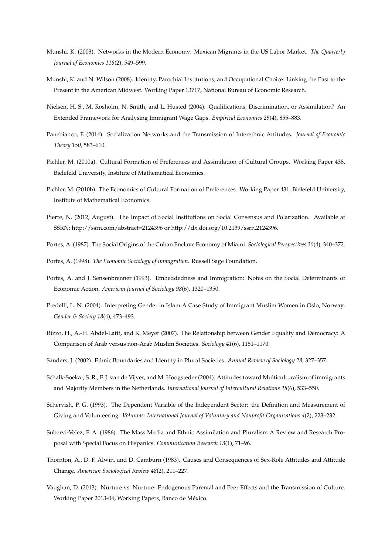- <span id="page-37-8"></span>Munshi, K. (2003). Networks in the Modern Economy: Mexican Migrants in the US Labor Market. *The Quarterly Journal of Economics 118*(2), 549–599.
- <span id="page-37-6"></span>Munshi, K. and N. Wilson (2008). Identity, Parochial Institutions, and Occupational Choice: Linking the Past to the Present in the American Midwest. Working Paper 13717, National Bureau of Economic Research.
- <span id="page-37-1"></span>Nielsen, H. S., M. Rosholm, N. Smith, and L. Husted (2004). Qualifications, Discrimination, or Assimilation? An Extended Framework for Analysing Immigrant Wage Gaps. *Empirical Economics 29*(4), 855–883.
- <span id="page-37-5"></span>Panebianco, F. (2014). Socialization Networks and the Transmission of Interethnic Attitudes. *Journal of Economic Theory 150*, 583–610.
- Pichler, M. (2010a). Cultural Formation of Preferences and Assimilation of Cultural Groups. Working Paper 438, Bielefeld University, Institute of Mathematical Economics.
- Pichler, M. (2010b). The Economics of Cultural Formation of Preferences. Working Paper 431, Bielefeld University, Institute of Mathematical Economics.
- Pierre, N. (2012, August). The Impact of Social Institutions on Social Consensus and Polarization. Available at SSRN: http://ssrn.com/abstract=2124396 or http://dx.doi.org/10.2139/ssrn.2124396.
- Portes, A. (1987). The Social Origins of the Cuban Enclave Economy of Miami. *Sociological Perspectives 30*(4), 340–372.

Portes, A. (1998). *The Economic Sociology of Immigration*. Russell Sage Foundation.

- <span id="page-37-7"></span>Portes, A. and J. Sensenbrenner (1993). Embeddedness and Immigration: Notes on the Social Determinants of Economic Action. *American Journal of Sociology 98*(6), 1320–1350.
- <span id="page-37-11"></span>Predelli, L. N. (2004). Interpreting Gender in Islam A Case Study of Immigrant Muslim Women in Oslo, Norway. *Gender & Society 18*(4), 473–493.
- <span id="page-37-10"></span>Rizzo, H., A.-H. Abdel-Latif, and K. Meyer (2007). The Relationship between Gender Equality and Democracy: A Comparison of Arab versus non-Arab Muslim Societies. *Sociology 41*(6), 1151–1170.
- Sanders, J. (2002). Ethnic Boundaries and Identity in Plural Societies. *Annual Review of Sociology 28*, 327–357.
- <span id="page-37-0"></span>Schalk-Soekar, S. R., F. J. van de Vijver, and M. Hoogsteder (2004). Attitudes toward Multiculturalism of immigrants and Majority Members in the Netherlands. *International Journal of Intercultural Relations 28*(6), 533–550.
- <span id="page-37-2"></span>Schervish, P. G. (1993). The Dependent Variable of the Independent Sector: the Definition and Measurement of Giving and Volunteering. *Voluntas: International Journal of Voluntary and Nonprofit Organizations 4*(2), 223–232.
- <span id="page-37-3"></span>Subervi-Velez, F. A. (1986). The Mass Media and Ethnic Assimilation and Pluralism A Review and Research Proposal with Special Focus on Hispanics. *Communication Research 13*(1), 71–96.
- <span id="page-37-9"></span>Thornton, A., D. F. Alwin, and D. Camburn (1983). Causes and Consequences of Sex-Role Attitudes and Attitude Change. *American Sociological Review 48*(2), 211–227.
- <span id="page-37-4"></span>Vaughan, D. (2013). Nurture vs. Nurture: Endogenous Parental and Peer Effects and the Transmission of Culture. Working Paper 2013-04, Working Papers, Banco de México.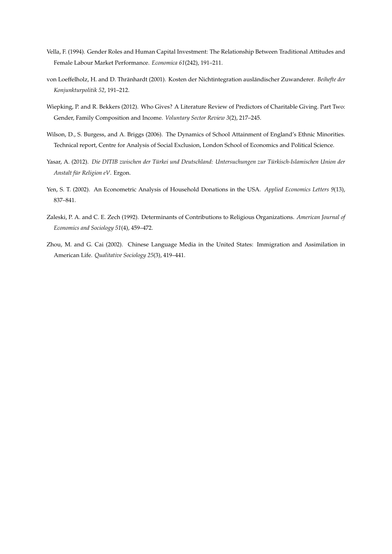- <span id="page-38-3"></span>Vella, F. (1994). Gender Roles and Human Capital Investment: The Relationship Between Traditional Attitudes and Female Labour Market Performance. *Economica 61*(242), 191–211.
- von Loeffelholz, H. and D. Thränhardt (2001). Kosten der Nichtintegration ausländischer Zuwanderer. *Beihefte der Konjunkturpolitik 52*, 191–212.
- <span id="page-38-1"></span>Wiepking, P. and R. Bekkers (2012). Who Gives? A Literature Review of Predictors of Charitable Giving. Part Two: Gender, Family Composition and Income. *Voluntary Sector Review 3*(2), 217–245.
- Wilson, D., S. Burgess, and A. Briggs (2006). The Dynamics of School Attainment of England's Ethnic Minorities. Technical report, Centre for Analysis of Social Exclusion, London School of Economics and Political Science.
- <span id="page-38-2"></span>Yasar, A. (2012). *Die DITIB zwischen der Türkei und Deutschland: Untersuchungen zur Türkisch-Islamischen Union der Anstalt für Religion eV*. Ergon.
- Yen, S. T. (2002). An Econometric Analysis of Household Donations in the USA. *Applied Economics Letters 9*(13), 837–841.
- <span id="page-38-0"></span>Zaleski, P. A. and C. E. Zech (1992). Determinants of Contributions to Religious Organizations. *American Journal of Economics and Sociology 51*(4), 459–472.
- <span id="page-38-4"></span>Zhou, M. and G. Cai (2002). Chinese Language Media in the United States: Immigration and Assimilation in American Life. *Qualitative Sociology 25*(3), 419–441.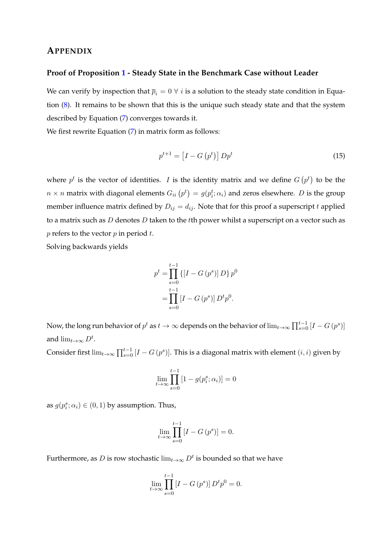# **APPENDIX**

#### **Proof of Proposition [1](#page-17-1) - Steady State in the Benchmark Case without Leader**

We can verify by inspection that  $\bar{p}_i = 0 \ \forall i$  is a solution to the steady state condition in Equation [\(8\)](#page-17-0). It remains to be shown that this is the unique such steady state and that the system described by Equation [\(7\)](#page-17-2) converges towards it.

We first rewrite Equation [\(7\)](#page-17-2) in matrix form as follows:

$$
p^{t+1} = \left[I - G\left(p^t\right)\right] D p^t \tag{15}
$$

where  $p^t$  is the vector of identities. I is the identity matrix and we define  $G\left(p^t\right)$  to be the  $n \times n$  matrix with diagonal elements  $G_{ii} \left( p^t \right) = g(p^t_i; \alpha_i)$  and zeros elsewhere.  $D$  is the group member influence matrix defined by  $D_{ij} = d_{ij}$ . Note that for this proof a superscript t applied to a matrix such as  $D$  denotes  $D$  taken to the tth power whilst a superscript on a vector such as  $p$  refers to the vector  $p$  in period  $t$ .

Solving backwards yields

$$
p^{t} = \prod_{s=0}^{t-1} \left\{ [I - G(p^{s})] D \right\} p^{0}
$$

$$
= \prod_{s=0}^{t-1} \left[ I - G(p^{s}) \right] D^{t} p^{0}.
$$

Now, the long run behavior of  $p^t$  as  $t\to\infty$  depends on the behavior of  $\lim_{t\to\infty}\prod_{s=0}^{t-1}{[I-G(p^s)]}$ and  $\lim_{t\to\infty} D^t$ .

Consider first  $\lim_{t\to\infty}\prod_{s=0}^{t-1}[I-G(p^s)]$ . This is a diagonal matrix with element  $(i,i)$  given by

$$
\lim_{t \to \infty} \prod_{s=0}^{t-1} [1 - g(p_i^s; \alpha_i)] = 0
$$

as  $g(p_i^s; \alpha_i) \in (0, 1)$  by assumption. Thus,

$$
\lim_{t \to \infty} \prod_{s=0}^{t-1} [I - G(p^s)] = 0.
$$

Furthermore, as  $D$  is row stochastic  $\lim_{t\to\infty} D^t$  is bounded so that we have

$$
\lim_{t \to \infty} \prod_{s=0}^{t-1} \left[ I - G\left(p^s\right) \right] D^t p^0 = 0.
$$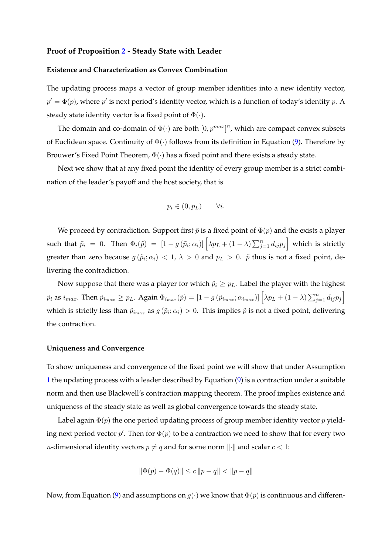#### **Proof of Proposition [2](#page-18-2) - Steady State with Leader**

#### **Existence and Characterization as Convex Combination**

The updating process maps a vector of group member identities into a new identity vector,  $p' = \Phi(p)$ , where  $p'$  is next period's identity vector, which is a function of today's identity  $p$ . A steady state identity vector is a fixed point of  $\Phi(\cdot)$ .

The domain and co-domain of  $\Phi(\cdot)$  are both  $[0, p^{max}]^n$ , which are compact convex subsets of Euclidean space. Continuity of  $\Phi(\cdot)$  follows from its definition in Equation [\(9\)](#page-18-3). Therefore by Brouwer's Fixed Point Theorem,  $\Phi(\cdot)$  has a fixed point and there exists a steady state.

Next we show that at any fixed point the identity of every group member is a strict combination of the leader's payoff and the host society, that is

$$
p_i \in (0, p_L) \qquad \forall i.
$$

We proceed by contradiction. Support first  $\tilde{p}$  is a fixed point of  $\Phi(p)$  and the exists a player such that  $\tilde{p}_i = 0$ . Then  $\Phi_i(\tilde{p}) = \left[1 - g\left(\tilde{p}_i; \alpha_i\right)\right] \left[\lambda p_L + \left(1 - \lambda\right) \sum_{j=1}^n d_{ij} p_j\right]$  which is strictly greater than zero because  $g(\tilde{p}_i; \alpha_i) < 1$ ,  $\lambda > 0$  and  $p_L > 0$ .  $\tilde{p}$  thus is not a fixed point, delivering the contradiction.

Now suppose that there was a player for which  $\tilde{p}_i \geq p_L$ . Label the player with the highest  $\tilde{p}_i$  as  $i_{max}.$  Then  $\tilde{p}_{i_{max}} \geq p_L.$  Again  $\Phi_{i_{max}}(\tilde{p}) = [1-g(\tilde{p}_{i_{max}}; \alpha_{i_{max}})] \left[\lambda p_L + (1-\lambda) \sum_{j=1}^n d_{ij} p_j\right]$ which is strictly less than  $\tilde{p}_{i_{max}}$  as  $g(\tilde{p}_i; \alpha_i) > 0$ . This implies  $\tilde{p}$  is not a fixed point, delivering the contraction.

#### **Uniqueness and Convergence**

To show uniqueness and convergence of the fixed point we will show that under Assumption [1](#page-18-1) the updating process with a leader described by Equation [\(9\)](#page-18-3) is a contraction under a suitable norm and then use Blackwell's contraction mapping theorem. The proof implies existence and uniqueness of the steady state as well as global convergence towards the steady state.

Label again  $\Phi(p)$  the one period updating process of group member identity vector p yielding next period vector  $p'$ . Then for  $\Phi(p)$  to be a contraction we need to show that for every two *n*-dimensional identity vectors  $p \neq q$  and for some norm  $\lVert \cdot \rVert$  and scalar  $c < 1$ :

$$
\|\Phi(p) - \Phi(q)\| \le c \|p - q\| < \|p - q\|
$$

Now, from Equation [\(9\)](#page-18-3) and assumptions on  $g(\cdot)$  we know that  $\Phi(p)$  is continuous and differen-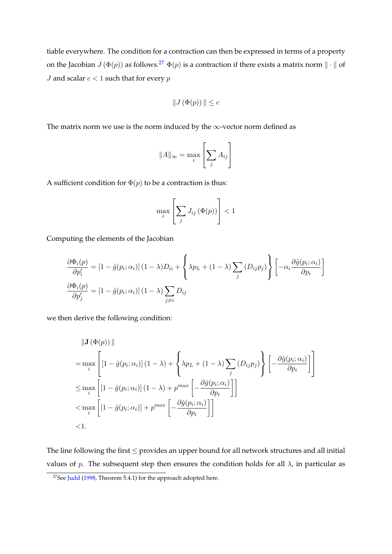tiable everywhere. The condition for a contraction can then be expressed in terms of a property on the Jacobian  $J(\Phi(p))$  as follows.<sup>[27](#page-41-0)</sup>  $\Phi(p)$  is a contraction if there exists a matrix norm  $\|\cdot\|$  of *J* and scalar  $c < 1$  such that for every  $p$ 

$$
\|J\left(\Phi(p)\right)\|\leq c
$$

The matrix norm we use is the norm induced by the  $\infty$ -vector norm defined as

$$
||A||_{\infty} = \max_{i} \left[ \sum_{j} A_{ij} \right]
$$

A sufficient condition for  $\Phi(p)$  to be a contraction is thus:

$$
\max_{i} \left[ \sum_{j} J_{ij} \left( \Phi(p) \right) \right] < 1
$$

Computing the elements of the Jacobian

$$
\frac{\partial \Phi_i(p)}{\partial p'_i} = \left[1 - \hat{g}(p_i; \alpha_i)\right](1 - \lambda)D_{ii} + \left\{\lambda p_L + (1 - \lambda)\sum_j \left(D_{ij} p_j\right)\right\} \left[-\alpha_i \frac{\partial \hat{g}(p_i; \alpha_i)}{\partial p_i}\right]
$$

$$
\frac{\partial \Phi_i(p)}{\partial p'_j} = \left[1 - \hat{g}(p_i; \alpha_i)\right](1 - \lambda)\sum_{j \neq i} D_{ij}
$$

we then derive the following condition:

$$
\|\mathbf{J}(\Phi(p))\|
$$
\n
$$
= \max_{i} \left[ \left[ 1 - \hat{g}(p_i; \alpha_i) \right] (1 - \lambda) + \left\{ \lambda p_L + (1 - \lambda) \sum_{j} (D_{ij} p_j) \right\} \left[ -\frac{\partial \hat{g}(p_i; \alpha_i)}{\partial p_i} \right] \right]
$$
\n
$$
\leq \max_{i} \left[ \left[ 1 - \hat{g}(p_i; \alpha_i) \right] (1 - \lambda) + p^{max} \left[ -\frac{\partial \hat{g}(p_i; \alpha_i)}{\partial p_i} \right] \right]
$$
\n
$$
< \max_{i} \left[ \left[ 1 - \hat{g}(p_i; \alpha_i) \right] + p^{max} \left[ -\frac{\partial \hat{g}(p_i; \alpha_i)}{\partial p_i} \right] \right]
$$
\n
$$
< 1.
$$

The line following the first  $\leq$  provides an upper bound for all network structures and all initial values of p. The subsequent step then ensures the condition holds for all  $\lambda$ , in particular as

<span id="page-41-0"></span><sup>&</sup>lt;sup>27</sup>See [Judd](#page-36-13) [\(1998,](#page-36-13) Theorem 5.4.1) for the approach adopted here.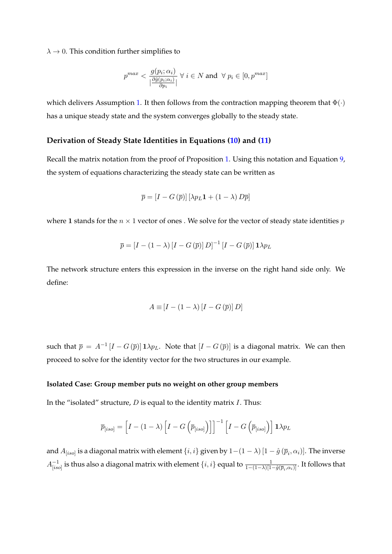$\lambda \rightarrow 0$ . This condition further simplifies to

$$
p^{max} < \frac{g(p_i; \alpha_i)}{|\frac{\partial \hat{g}(p_i; \alpha_i)}{\partial p_i}|} \; \forall \; i \in N \; \text{and} \; \; \forall \; p_i \in [0, p^{max}]
$$

which delivers Assumption [1.](#page-18-1) It then follows from the contraction mapping theorem that  $\Phi(\cdot)$ has a unique steady state and the system converges globally to the steady state.

### **Derivation of Steady State Identities in Equations [\(10\)](#page-19-0) and [\(11\)](#page-19-1)**

Recall the matrix notation from the proof of Proposition [1.](#page-17-1) Using this notation and Equation [9,](#page-18-3) the system of equations characterizing the steady state can be written as

$$
\overline{p} = [I - G(\overline{p})] [\lambda p_L \mathbf{1} + (1 - \lambda) D \overline{p}]
$$

where 1 stands for the  $n \times 1$  vector of ones. We solve for the vector of steady state identities  $p$ 

$$
\overline{p} = [I - (1 - \lambda) [I - G(\overline{p})] D]^{-1} [I - G(\overline{p})] 1 \lambda p_L
$$

The network structure enters this expression in the inverse on the right hand side only. We define:

$$
A \equiv [I - (1 - \lambda) [I - G(\overline{p})] D]
$$

such that  $\bar{p} = A^{-1} [I - G(\bar{p})] \mathbf{1} \lambda p_L$ . Note that  $[I - G(\bar{p})]$  is a diagonal matrix. We can then proceed to solve for the identity vector for the two structures in our example.

#### **Isolated Case: Group member puts no weight on other group members**

In the "isolated" structure,  $D$  is equal to the identity matrix  $I$ . Thus:

$$
\overline{p}_{[iso]} = \left[I - (1 - \lambda)\left[I - G\left(\overline{p}_{[iso]}\right)\right]\right]^{-1} \left[I - G\left(\overline{p}_{[iso]}\right)\right] \mathbf{1} \lambda p_L
$$

and  $A_{[iso]}$  is a diagonal matrix with element  $\{i,i\}$  given by  $1-(1-\lambda)\left[1-\hat{g}\left(\overline{p}_i,\alpha_i\right)\right]$ . The inverse  $A_{\scriptscriptstyle{ij}}^{-1}$  $_{[iso]}^{-1}$  is thus also a diagonal matrix with element  $\{i,i\}$  equal to  $\frac{1}{1-(1-\lambda)[1-\hat{g}(\overline{p}_i,\alpha_i)]}.$  It follows that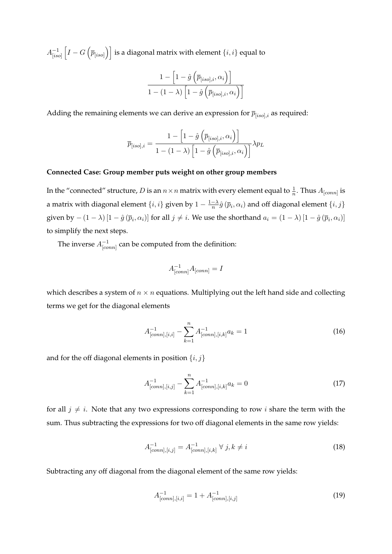$A^{-1}_{\text{lis}}$  $\left[\overline{I}_{[iso]}\left[I-G\left(\overline{p}_{[iso]}\right)\right]\right]$  is a diagonal matrix with element  $\{i,i\}$  equal to

$$
\frac{1 - \left[1 - \hat{g}\left(\overline{p}_{[iso],i}, \alpha_i\right)\right]}{1 - (1 - \lambda)\left[1 - \hat{g}\left(\overline{p}_{[iso],i}, \alpha_i\right)\right]}
$$

Adding the remaining elements we can derive an expression for  $\bar{p}_{[iso],i}$  as required:

$$
\overline{p}_{[iso],i} = \frac{1 - \left[1 - \hat{g}\left(\overline{p}_{[iso],i}, \alpha_i\right)\right]}{1 - (1 - \lambda)\left[1 - \hat{g}\left(\overline{p}_{[iso],i}, \alpha_i\right)\right]} \lambda p_L
$$

#### **Connected Case: Group member puts weight on other group members**

In the "connected" structure,  $D$  is an  $n \times n$  matrix with every element equal to  $\frac{1}{n}$ . Thus  $A_{[conn]}$  is a matrix with diagonal element  $\{i,i\}$  given by  $1-\frac{1-\lambda}{n}$  $\frac{-\lambda}{n} \hat{g}\left(\overline{p}_i, \alpha_i\right)$  and off diagonal element  $\{i, j\}$ given by  $-(1-\lambda)\left[1-\hat{g}\left(\overline{p}_i,\alpha_i\right)\right]$  for all  $j\neq i$ . We use the shorthand  $a_i=(1-\lambda)\left[1-\hat{g}\left(\overline{p}_i,\alpha_i\right)\right]$ to simplify the next steps.

The inverse  $A^{-1}_{[co]}$  $^{-1}_{[conn]}$  can be computed from the definition:

$$
A^{-1}_{[conn]}A_{[conn]} = I
$$

which describes a system of  $n \times n$  equations. Multiplying out the left hand side and collecting terms we get for the diagonal elements

$$
A^{-1}_{[conn],[i,i]} - \sum_{k=1}^{n} A^{-1}_{[conn],[i,k]} a_k = 1
$$
\n(16)

and for the off diagonal elements in position  $\{i, j\}$ 

<span id="page-43-1"></span>
$$
A^{-1}_{[conn],[i,j]} - \sum_{k=1}^{n} A^{-1}_{[conn],[i,k]} a_k = 0
$$
\n(17)

for all  $j \neq i$ . Note that any two expressions corresponding to row i share the term with the sum. Thus subtracting the expressions for two off diagonal elements in the same row yields:

$$
A_{[conn],[i,j]}^{-1} = A_{[conn],[i,k]}^{-1} \ \forall \ j, k \neq i
$$
 (18)

Subtracting any off diagonal from the diagonal element of the same row yields:

<span id="page-43-0"></span>
$$
A_{[conn],[i,i]}^{-1} = 1 + A_{[conn],[i,j]}^{-1}
$$
 (19)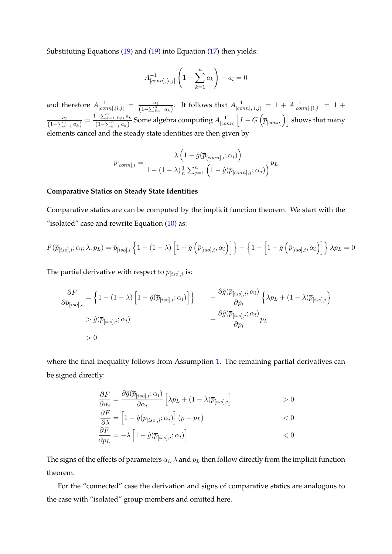Substituting Equations [\(19\)](#page-43-0) and [\(19\)](#page-43-0) into Equation [\(17\)](#page-43-1) then yields:

$$
A_{[conn],[i,j]}^{-1} \left( 1 - \sum_{k=1}^{n} a_k \right) - a_i = 0
$$

and therefore  $A^{-1}_{[conn],[i,j]} = \frac{a_i}{(1-\sum_{i=1}^n a_i)}$  $\frac{a_i}{(1-\sum_{k=1}^n a_k)}$ . It follows that  $A^{-1}_{[conn],[i,j]} = 1 + A^{-1}_{[conn],[i,j]} = 1 +$ ai  $\frac{a_i}{(1-\sum_{k=1}^n a_k)} = \frac{1-\sum_{k=1,k\neq i}^n a_k}{(1-\sum_{k=1}^n a_k)}$  $\frac{(-\sum_{k=1,k\neq i}a_k}{(1-\sum_{k=1}^n a_k)}$  Some algebra computing  $A^{-1}_{[co]}$  $\frac{-1}{[conn]} \left [ I - G \left ( \overline{p}_{[conn]} \right ) \right ]$  shows that many elements cancel and the steady state identities are then given by

$$
\overline{p}_{[conn],i} = \frac{\lambda \left(1 - \hat{g}(\overline{p}_{[conn],i}; \alpha_i)\right)}{1 - (1 - \lambda)\frac{1}{n}\sum_{j=1}^n \left(1 - \hat{g}(\overline{p}_{[conn],j}; \alpha_j)\right)} p_L
$$

#### **Comparative Statics on Steady State Identities**

Comparative statics are can be computed by the implicit function theorem. We start with the "isolated" case and rewrite Equation  $(10)$  as:

$$
F(\overline{p}_{[iso],i};\alpha_i;\lambda;p_L) = \overline{p}_{[iso],i} \left\{ 1 - (1-\lambda) \left[ 1 - \hat{g} \left( \overline{p}_{[iso],i},\alpha_i \right) \right] \right\} - \left\{ 1 - \left[ 1 - \hat{g} \left( \overline{p}_{[iso],i},\alpha_i \right) \right] \right\} \lambda p_L = 0
$$

The partial derivative with respect to  $\overline{p}_{[iso],i}$  is:

$$
\frac{\partial F}{\partial \overline{p}_{[iso],i}} = \left\{ 1 - (1 - \lambda) \left[ 1 - \hat{g}(\overline{p}_{[iso],i}; \alpha_i) \right] \right\} + \frac{\partial \hat{g}(\overline{p}_{[iso],i}; \alpha_i)}{\partial p_i} \left\{ \lambda p_L + (1 - \lambda) \overline{p}_{[iso],i} \right\} \n> \hat{g}(\overline{p}_{[iso],i}; \alpha_i) + \frac{\partial \hat{g}(\overline{p}_{[iso],i}; \alpha_i)}{\partial p_i} p_L \n> 0
$$

where the final inequality follows from Assumption [1.](#page-18-1) The remaining partial derivatives can be signed directly:

$$
\frac{\partial F}{\partial \alpha_i} = \frac{\partial \hat{g}(\overline{p}_{[iso],i}; \alpha_i)}{\partial \alpha_i} \left[ \lambda p_L + (1 - \lambda) \overline{p}_{[iso],i} \right] > 0
$$
  
\n
$$
\frac{\partial F}{\partial \lambda} = \left[ 1 - \hat{g}(\overline{p}_{[iso],i}; \alpha_i) \right] (p - p_L) < 0
$$
  
\n
$$
\frac{\partial F}{\partial \lambda} = \left[ 1 - \hat{g}(\overline{p}_{[iso],i}; \alpha_i) \right] (p - p_L) < 0
$$

$$
\frac{\partial F}{\partial p_L} = -\lambda \left[ 1 - \hat{g}(\bar{p}_{[iso],i}; \alpha_i) \right] \tag{0}
$$

The signs of the effects of parameters  $\alpha_i$ ,  $\lambda$  and  $p_L$  then follow directly from the implicit function theorem.

For the "connected" case the derivation and signs of comparative statics are analogous to the case with "isolated" group members and omitted here.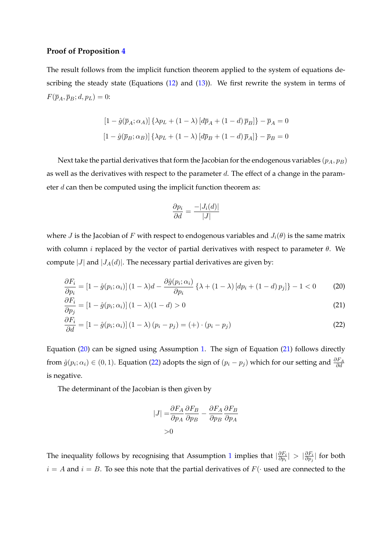#### **Proof of Proposition [4](#page-21-0)**

The result follows from the implicit function theorem applied to the system of equations de-scribing the steady state (Equations [\(12\)](#page-20-0) and [\(13\)](#page-20-1)). We first rewrite the system in terms of  $F(\overline{p}_A, \overline{p}_B; d, p_L) = 0$ :

$$
[1 - \hat{g}(\bar{p}_A; \alpha_A)] \{\lambda p_L + (1 - \lambda) [d\bar{p}_A + (1 - d)\bar{p}_B] \} - \bar{p}_A = 0
$$
  

$$
[1 - \hat{g}(\bar{p}_B; \alpha_B)] \{\lambda p_L + (1 - \lambda) [d\bar{p}_B + (1 - d)\bar{p}_A] \} - \bar{p}_B = 0
$$

Next take the partial derivatives that form the Jacobian for the endogenous variables  $(p_A, p_B)$ as well as the derivatives with respect to the parameter  $d$ . The effect of a change in the parameter  $d$  can then be computed using the implicit function theorem as:

<span id="page-45-2"></span><span id="page-45-1"></span><span id="page-45-0"></span>
$$
\frac{\partial p_i}{\partial d} = \frac{-|J_i(d)|}{|J|}
$$

where J is the Jacobian of F with respect to endogenous variables and  $J_i(\theta)$  is the same matrix with column *i* replaced by the vector of partial derivatives with respect to parameter  $\theta$ . We compute |J| and  $|J_A(d)|$ . The necessary partial derivatives are given by:

$$
\frac{\partial F_i}{\partial p_i} = \left[1 - \hat{g}(p_i; \alpha_i)\right](1 - \lambda)d - \frac{\partial \hat{g}(p_i; \alpha_i)}{\partial p_i} \left\{\lambda + (1 - \lambda)\left[dp_i + (1 - d)p_j\right]\right\} - 1 < 0 \tag{20}
$$

$$
\frac{\partial F_i}{\partial p_j} = \left[1 - \hat{g}(p_i; \alpha_i)\right](1 - \lambda)(1 - d) > 0
$$
\n(21)

$$
\frac{\partial F_i}{\partial d} = \left[1 - \hat{g}(p_i; \alpha_i)\right](1 - \lambda)(p_i - p_j) = (+) \cdot (p_i - p_j)
$$
\n(22)

Equation [\(20\)](#page-45-0) can be signed using Assumption [1.](#page-18-1) The sign of Equation [\(21\)](#page-45-1) follows directly from  $\hat{g}(p_i; \alpha_i) \in (0, 1)$ . Equation [\(22\)](#page-45-2) adopts the sign of  $(p_i - p_j)$  which for our setting and  $\frac{\partial F_A}{\partial d}$ is negative.

The determinant of the Jacobian is then given by

$$
|J| = \frac{\partial F_A}{\partial p_A} \frac{\partial F_B}{\partial p_B} - \frac{\partial F_A}{\partial p_B} \frac{\partial F_B}{\partial p_A}
$$
  
>0

The inequality follows by recognising that Assumption [1](#page-18-1) implies that  $|\frac{\partial F_i}{\partial p_i}|$  $\frac{\partial F_i}{\partial p_i}|\,>\,|\frac{\partial F_i}{\partial p_j}$  $\frac{\partial F_i}{\partial p_j}$ | for both  $i = A$  and  $i = B$ . To see this note that the partial derivatives of  $F(\cdot)$  used are connected to the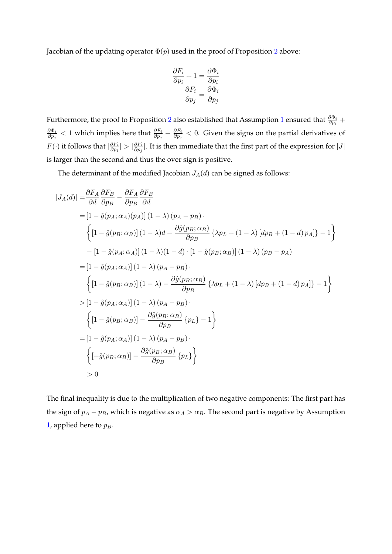Jacobian of the updating operator  $\Phi(p)$  used in the proof of Proposition [2](#page-18-2) above:

$$
\frac{\partial F_i}{\partial p_i} + 1 = \frac{\partial \Phi_i}{\partial p_i}
$$

$$
\frac{\partial F_i}{\partial p_j} = \frac{\partial \Phi_i}{\partial p_j}
$$

Furthermore, the proof to Proposition [2](#page-18-2) also established that Assumption [1](#page-18-1) ensured that  $\frac{\partial \Phi_i}{\partial p_i}$  +  $\partial \Phi_i$  $\frac{\partial \Phi_i}{\partial p_j} < 1$  which implies here that  $\frac{\partial F_i}{\partial p_j} + \frac{\partial F_i}{\partial p_j}$  $\frac{\partial F_i}{\partial p_j} < 0$ . Given the signs on the partial derivatives of  $F(\cdot)$  it follows that  $|\frac{\partial F_i}{\partial p_i}|$  $\frac{\partial F_i}{\partial p_i}| > |\frac{\partial F_i}{\partial p_j}|$  $\frac{\partial F_i}{\partial p_j}$ . It is then immediate that the first part of the expression for  $|J|$ is larger than the second and thus the over sign is positive.

The determinant of the modified Jacobian  $J_A(d)$  can be signed as follows:

$$
|J_A(d)| = \frac{\partial F_A}{\partial d} \frac{\partial F_B}{\partial p_B} - \frac{\partial F_A}{\partial p_B} \frac{\partial F_B}{\partial d}
$$
  
\n
$$
= [1 - \hat{g}(p_A; \alpha_A)(p_A)] (1 - \lambda) (p_A - p_B) \cdot
$$
  
\n
$$
\left\{ [1 - \hat{g}(p_B; \alpha_B)] (1 - \lambda) d - \frac{\partial \hat{g}(p_B; \alpha_B)}{\partial p_B} \{ \lambda p_L + (1 - \lambda) [dp_B + (1 - d) p_A] \} - 1 \right\}
$$
  
\n
$$
- [1 - \hat{g}(p_A; \alpha_A)] (1 - \lambda)(1 - d) \cdot [1 - \hat{g}(p_B; \alpha_B)] (1 - \lambda) (p_B - p_A)
$$
  
\n
$$
= [1 - \hat{g}(p_A; \alpha_A)] (1 - \lambda) (p_A - p_B) \cdot
$$
  
\n
$$
\left\{ [1 - \hat{g}(p_B; \alpha_B)] (1 - \lambda) - \frac{\partial \hat{g}(p_B; \alpha_B)}{\partial p_B} \{ \lambda p_L + (1 - \lambda) [dp_B + (1 - d) p_A] \} - 1 \right\}
$$
  
\n
$$
> [1 - \hat{g}(p_A; \alpha_A)] (1 - \lambda) (p_A - p_B) \cdot
$$
  
\n
$$
\left\{ [1 - \hat{g}(p_B; \alpha_B)] - \frac{\partial \hat{g}(p_B; \alpha_B)}{\partial p_B} \{ p_L \} - 1 \right\}
$$
  
\n
$$
= [1 - \hat{g}(p_A; \alpha_A)] (1 - \lambda) (p_A - p_B) \cdot
$$
  
\n
$$
\left\{ [-\hat{g}(p_B; \alpha_B)] - \frac{\partial \hat{g}(p_B; \alpha_B)}{\partial p_B} \{ p_L \} \right\}
$$
  
\n
$$
> 0
$$

The final inequality is due to the multiplication of two negative components: The first part has the sign of  $p_A - p_B$ , which is negative as  $\alpha_A > \alpha_B$ . The second part is negative by Assumption [1,](#page-18-1) applied here to  $p_B$ .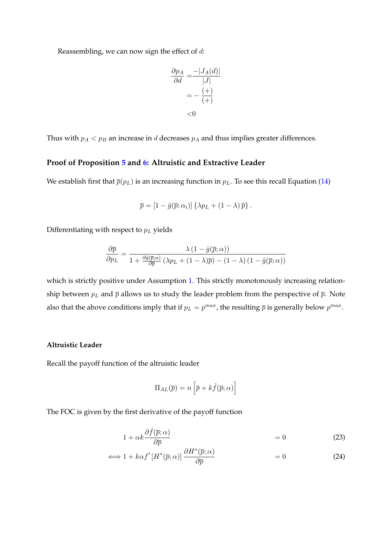Reassembling, we can now sign the effect of  $d$ :

$$
\frac{\partial p_A}{\partial d} = \frac{-|J_A(d)|}{|J|}
$$

$$
= -\frac{(+)}{(+)}
$$

$$
< 0
$$

Thus with  $p_A < p_B$  an increase in *d* decreases  $p_A$  and thus implies greater differences.

#### **Proof of Proposition [5](#page-23-1) and [6:](#page-24-0) Altruistic and Extractive Leader**

We establish first that  $\bar{p}(p_L)$  is an increasing function in  $p_L$ . To see this recall Equation [\(14\)](#page-23-2)

$$
\overline{p} = [1 - \hat{g}(\overline{p}; \alpha_i)] \left\{ \lambda p_L + (1 - \lambda) \overline{p} \right\}.
$$

Differentiating with respect to  $p<sub>L</sub>$  yields

$$
\frac{\partial \overline{p}}{\partial p_L} = \frac{\lambda (1 - \hat{g}(\overline{p}; \alpha))}{1 + \frac{\partial \hat{g}(\overline{p}; \alpha)}{\partial \overline{p}} (\lambda p_L + (1 - \lambda)\overline{p}) - (1 - \lambda) (1 - \hat{g}(\overline{p}; \alpha))}
$$

which is strictly positive under Assumption [1.](#page-18-1) This strictly monotonously increasing relationship between  $p<sub>L</sub>$  and  $\bar{p}$  allows us to study the leader problem from the perspective of  $\bar{p}$ . Note also that the above conditions imply that if  $p_L = p^{max}$ , the resulting  $\bar{p}$  is generally below  $p^{max}$ .

#### **Altruistic Leader**

Recall the payoff function of the altruistic leader

<span id="page-47-0"></span>
$$
\Pi_{AL}(\overline{p}) = n \left[ \overline{p} + k \hat{f}(\overline{p}; \alpha) \right]
$$

The FOC is given by the first derivative of the payoff function

$$
1 + \alpha k \frac{\partial \hat{f}(\bar{p}; \alpha)}{\partial \bar{p}} = 0 \tag{23}
$$

$$
\Longleftrightarrow 1 + k\alpha f'[H^*(\overline{p}; \alpha)] \frac{\partial H^*(\overline{p}; \alpha)}{\partial \overline{p}} = 0 \tag{24}
$$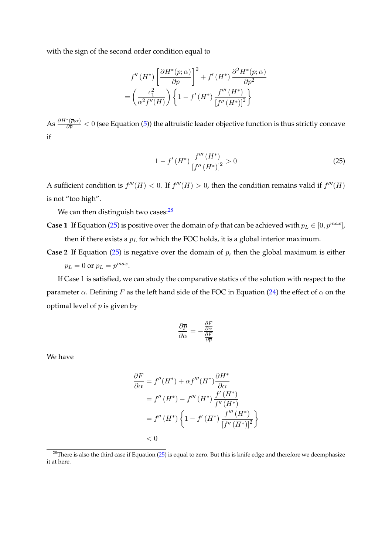with the sign of the second order condition equal to

$$
f''\left(H^*\right) \left[\frac{\partial H^*(\overline{p};\alpha)}{\partial \overline{p}}\right]^2 + f'\left(H^*\right) \frac{\partial^2 H^*(\overline{p};\alpha)}{\partial \overline{p}^2}
$$

$$
= \left(\frac{c_1^2}{\alpha^2 f''(H)}\right) \left\{1 - f'\left(H^*\right) \frac{f'''\left(H^*\right)}{\left[f''\left(H^*\right)\right]^2}\right\}
$$

As  $\frac{\partial H^*(\overline{p};\alpha)}{\partial \overline{p}} < 0$  (see Equation [\(5\)](#page-16-4)) the altruistic leader objective function is thus strictly concave if

<span id="page-48-1"></span>
$$
1 - f'(H^*) \frac{f'''(H^*)}{[f''(H^*)]^2} > 0
$$
\n(25)

A sufficient condition is  $f'''(H) < 0$ . If  $f'''(H) > 0$ , then the condition remains valid if  $f'''(H)$ is not "too high".

We can then distinguish two cases: $28$ 

- **Case 1** If Equation [\(25\)](#page-48-1) is positive over the domain of p that can be achieved with  $p_L \in [0, p^{max}]$ , then if there exists a  $p<sub>L</sub>$  for which the FOC holds, it is a global interior maximum.
- **Case 2** If Equation [\(25\)](#page-48-1) is negative over the domain of p, then the global maximum is either  $p_L = 0$  or  $p_L = p^{max}$ .

If Case 1 is satisfied, we can study the comparative statics of the solution with respect to the parameter  $\alpha$ . Defining F as the left hand side of the FOC in Equation [\(24\)](#page-47-0) the effect of  $\alpha$  on the optimal level of  $\bar{p}$  is given by

$$
\frac{\partial \overline{p}}{\partial \alpha} = -\frac{\frac{\partial F}{\partial \alpha}}{\frac{\partial F}{\partial \overline{p}}}
$$

We have

$$
\frac{\partial F}{\partial \alpha} = f''(H^*) + \alpha f'''(H^*) \frac{\partial H^*}{\partial \alpha}
$$
  
=  $f''(H^*) - f'''(H^*) \frac{f'(H^*)}{f''(H^*)}$   
=  $f''(H^*) \left\{ 1 - f'(H^*) \frac{f'''(H^*)}{[f''(H^*)]^2} \right\}$   
< 0

<span id="page-48-0"></span> $28$ There is also the third case if Equation [\(25\)](#page-48-1) is equal to zero. But this is knife edge and therefore we deemphasize it at here.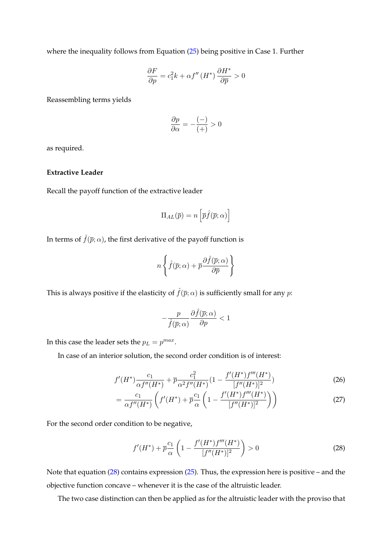where the inequality follows from Equation [\(25\)](#page-48-1) being positive in Case 1. Further

$$
\frac{\partial F}{\partial p} = c_1^2 k + \alpha f''(H^*) \frac{\partial H^*}{\partial \overline{p}} > 0
$$

Reassembling terms yields

$$
\frac{\partial p}{\partial \alpha} = -\frac{(-)}{(+)} > 0
$$

as required.

# **Extractive Leader**

Recall the payoff function of the extractive leader

$$
\Pi_{AL}(\overline{p}) = n \left[ \overline{p} \hat{f}(\overline{p}; \alpha) \right]
$$

In terms of  $\hat{f}(\bar{p}; \alpha)$ , the first derivative of the payoff function is

$$
n\left\{\hat{f}(\overline{p};\alpha)+\overline{p}\frac{\partial\hat{f}(\overline{p};\alpha)}{\partial\overline{p}}\right\}
$$

This is always positive if the elasticity of  $\hat{f}(\bar{p}; \alpha)$  is sufficiently small for any  $p$ :

$$
-\frac{p}{\hat f(\overline p; \alpha)}\frac{\partial \hat f(\overline p; \alpha)}{\partial p}<1
$$

In this case the leader sets the  $p_L = p^{max}$ .

In case of an interior solution, the second order condition is of interest:

$$
f'(H^*)\frac{c_1}{\alpha f''(H^*)} + \overline{p}\frac{c_1^2}{\alpha^2 f''(H^*)} \left(1 - \frac{f'(H^*)f'''(H^*)}{[f''(H^*)]^2}\right) \tag{26}
$$

$$
= \frac{c_1}{\alpha f''(H^*)} \left( f'(H^*) + \overline{p} \frac{c_1}{\alpha} \left( 1 - \frac{f'(H^*) f'''(H^*)}{[f''(H^*)]^2} \right) \right) \tag{27}
$$

For the second order condition to be negative,

<span id="page-49-0"></span>
$$
f'(H^*) + \overline{p}\frac{c_1}{\alpha} \left( 1 - \frac{f'(H^*)f'''(H^*)}{[f''(H^*)]^2} \right) > 0
$$
\n(28)

Note that equation [\(28\)](#page-49-0) contains expression [\(25\)](#page-48-1). Thus, the expression here is positive – and the objective function concave – whenever it is the case of the altruistic leader.

The two case distinction can then be applied as for the altruistic leader with the proviso that